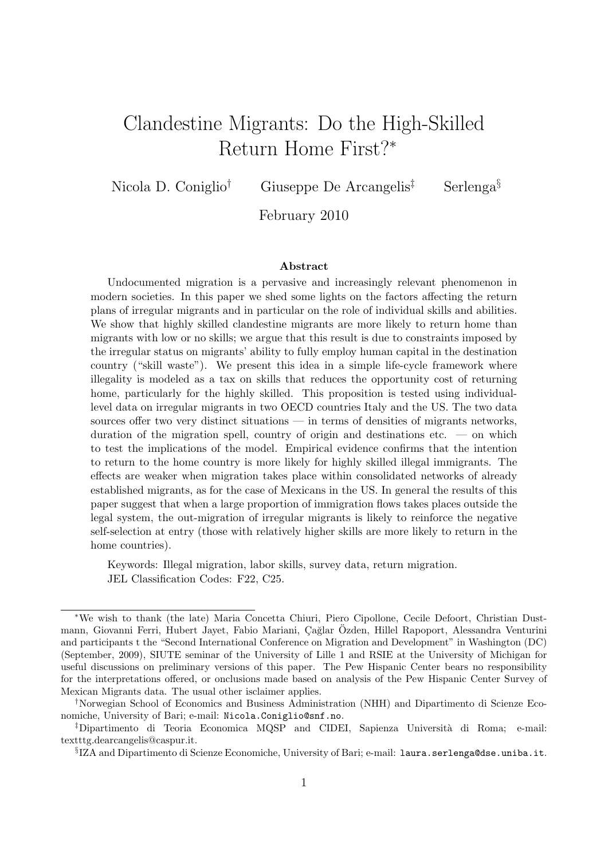# Clandestine Migrants: Do the High-Skilled Return Home First?<sup>∗</sup>

Nicola D. Coniglio<sup>†</sup> Giuseppe De Arcangelis<sup>‡</sup> Serlenga<sup>§</sup>

February 2010

#### Abstract

Undocumented migration is a pervasive and increasingly relevant phenomenon in modern societies. In this paper we shed some lights on the factors affecting the return plans of irregular migrants and in particular on the role of individual skills and abilities. We show that highly skilled clandestine migrants are more likely to return home than migrants with low or no skills; we argue that this result is due to constraints imposed by the irregular status on migrants' ability to fully employ human capital in the destination country ("skill waste"). We present this idea in a simple life-cycle framework where illegality is modeled as a tax on skills that reduces the opportunity cost of returning home, particularly for the highly skilled. This proposition is tested using individuallevel data on irregular migrants in two OECD countries Italy and the US. The two data sources offer two very distinct situations — in terms of densities of migrants networks, duration of the migration spell, country of origin and destinations etc. — on which to test the implications of the model. Empirical evidence confirms that the intention to return to the home country is more likely for highly skilled illegal immigrants. The effects are weaker when migration takes place within consolidated networks of already established migrants, as for the case of Mexicans in the US. In general the results of this paper suggest that when a large proportion of immigration flows takes places outside the legal system, the out-migration of irregular migrants is likely to reinforce the negative self-selection at entry (those with relatively higher skills are more likely to return in the home countries).

Keywords: Illegal migration, labor skills, survey data, return migration. JEL Classification Codes: F22, C25.

<sup>∗</sup>We wish to thank (the late) Maria Concetta Chiuri, Piero Cipollone, Cecile Defoort, Christian Dustmann, Giovanni Ferri, Hubert Jayet, Fabio Mariani, Çağlar Özden, Hillel Rapoport, Alessandra Venturini and participants t the "Second International Conference on Migration and Development" in Washington (DC) (September, 2009), SIUTE seminar of the University of Lille 1 and RSIE at the University of Michigan for useful discussions on preliminary versions of this paper. The Pew Hispanic Center bears no responsibility for the interpretations offered, or onclusions made based on analysis of the Pew Hispanic Center Survey of Mexican Migrants data. The usual other isclaimer applies.

<sup>†</sup>Norwegian School of Economics and Business Administration (NHH) and Dipartimento di Scienze Economiche, University of Bari; e-mail: Nicola.Coniglio@snf.no.

<sup>‡</sup>Dipartimento di Teoria Economica MQSP and CIDEI, Sapienza Universit`a di Roma; e-mail: textttg.dearcangelis@caspur.it.

 $\S$ IZA and Dipartimento di Scienze Economiche, University of Bari; e-mail: laura.serlenga@dse.uniba.it.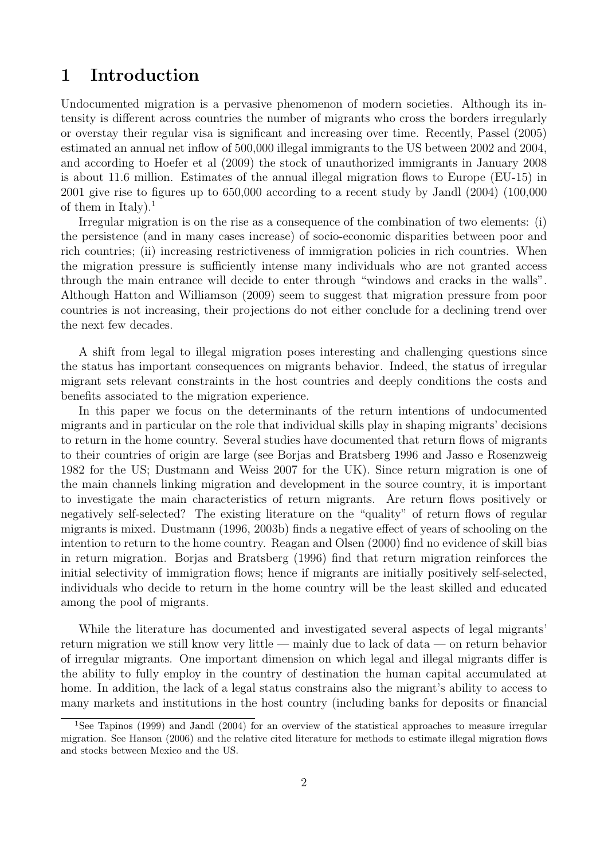## 1 Introduction

Undocumented migration is a pervasive phenomenon of modern societies. Although its intensity is different across countries the number of migrants who cross the borders irregularly or overstay their regular visa is significant and increasing over time. Recently, Passel (2005) estimated an annual net inflow of 500,000 illegal immigrants to the US between 2002 and 2004, and according to Hoefer et al (2009) the stock of unauthorized immigrants in January 2008 is about 11.6 million. Estimates of the annual illegal migration flows to Europe (EU-15) in 2001 give rise to figures up to 650,000 according to a recent study by Jandl (2004) (100,000 of them in Italy).<sup>1</sup>

Irregular migration is on the rise as a consequence of the combination of two elements: (i) the persistence (and in many cases increase) of socio-economic disparities between poor and rich countries; (ii) increasing restrictiveness of immigration policies in rich countries. When the migration pressure is sufficiently intense many individuals who are not granted access through the main entrance will decide to enter through "windows and cracks in the walls". Although Hatton and Williamson (2009) seem to suggest that migration pressure from poor countries is not increasing, their projections do not either conclude for a declining trend over the next few decades.

A shift from legal to illegal migration poses interesting and challenging questions since the status has important consequences on migrants behavior. Indeed, the status of irregular migrant sets relevant constraints in the host countries and deeply conditions the costs and benefits associated to the migration experience.

In this paper we focus on the determinants of the return intentions of undocumented migrants and in particular on the role that individual skills play in shaping migrants' decisions to return in the home country. Several studies have documented that return flows of migrants to their countries of origin are large (see Borjas and Bratsberg 1996 and Jasso e Rosenzweig 1982 for the US; Dustmann and Weiss 2007 for the UK). Since return migration is one of the main channels linking migration and development in the source country, it is important to investigate the main characteristics of return migrants. Are return flows positively or negatively self-selected? The existing literature on the "quality" of return flows of regular migrants is mixed. Dustmann (1996, 2003b) finds a negative effect of years of schooling on the intention to return to the home country. Reagan and Olsen (2000) find no evidence of skill bias in return migration. Borjas and Bratsberg (1996) find that return migration reinforces the initial selectivity of immigration flows; hence if migrants are initially positively self-selected, individuals who decide to return in the home country will be the least skilled and educated among the pool of migrants.

While the literature has documented and investigated several aspects of legal migrants' return migration we still know very little — mainly due to lack of data — on return behavior of irregular migrants. One important dimension on which legal and illegal migrants differ is the ability to fully employ in the country of destination the human capital accumulated at home. In addition, the lack of a legal status constrains also the migrant's ability to access to many markets and institutions in the host country (including banks for deposits or financial

<sup>1</sup>See Tapinos (1999) and Jandl (2004) for an overview of the statistical approaches to measure irregular migration. See Hanson (2006) and the relative cited literature for methods to estimate illegal migration flows and stocks between Mexico and the US.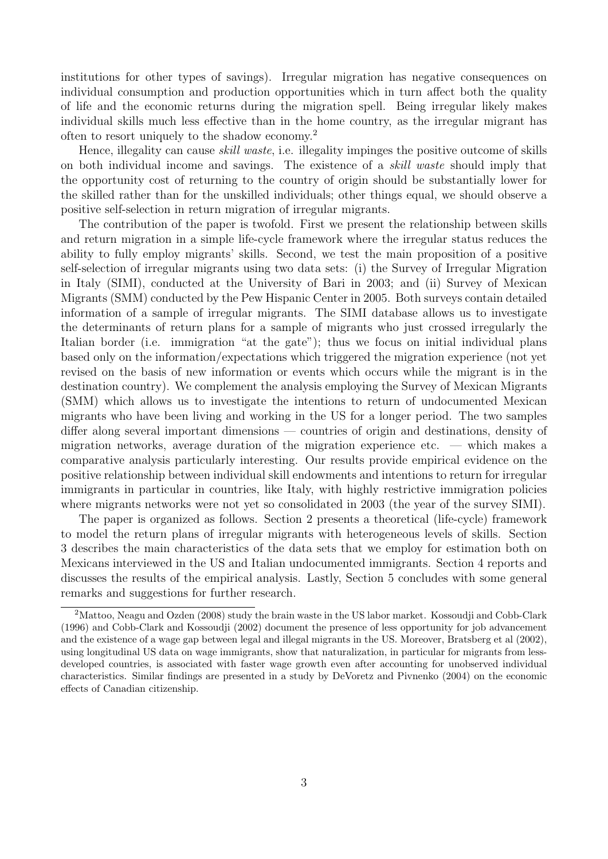institutions for other types of savings). Irregular migration has negative consequences on individual consumption and production opportunities which in turn affect both the quality of life and the economic returns during the migration spell. Being irregular likely makes individual skills much less effective than in the home country, as the irregular migrant has often to resort uniquely to the shadow economy.<sup>2</sup>

Hence, illegality can cause skill waste, i.e. illegality impinges the positive outcome of skills on both individual income and savings. The existence of a skill waste should imply that the opportunity cost of returning to the country of origin should be substantially lower for the skilled rather than for the unskilled individuals; other things equal, we should observe a positive self-selection in return migration of irregular migrants.

The contribution of the paper is twofold. First we present the relationship between skills and return migration in a simple life-cycle framework where the irregular status reduces the ability to fully employ migrants' skills. Second, we test the main proposition of a positive self-selection of irregular migrants using two data sets: (i) the Survey of Irregular Migration in Italy (SIMI), conducted at the University of Bari in 2003; and (ii) Survey of Mexican Migrants (SMM) conducted by the Pew Hispanic Center in 2005. Both surveys contain detailed information of a sample of irregular migrants. The SIMI database allows us to investigate the determinants of return plans for a sample of migrants who just crossed irregularly the Italian border (i.e. immigration "at the gate"); thus we focus on initial individual plans based only on the information/expectations which triggered the migration experience (not yet revised on the basis of new information or events which occurs while the migrant is in the destination country). We complement the analysis employing the Survey of Mexican Migrants (SMM) which allows us to investigate the intentions to return of undocumented Mexican migrants who have been living and working in the US for a longer period. The two samples differ along several important dimensions — countries of origin and destinations, density of migration networks, average duration of the migration experience etc. — which makes a comparative analysis particularly interesting. Our results provide empirical evidence on the positive relationship between individual skill endowments and intentions to return for irregular immigrants in particular in countries, like Italy, with highly restrictive immigration policies where migrants networks were not yet so consolidated in 2003 (the year of the survey SIMI).

The paper is organized as follows. Section 2 presents a theoretical (life-cycle) framework to model the return plans of irregular migrants with heterogeneous levels of skills. Section 3 describes the main characteristics of the data sets that we employ for estimation both on Mexicans interviewed in the US and Italian undocumented immigrants. Section 4 reports and discusses the results of the empirical analysis. Lastly, Section 5 concludes with some general remarks and suggestions for further research.

<sup>&</sup>lt;sup>2</sup>Mattoo, Neagu and Ozden (2008) study the brain waste in the US labor market. Kossoudji and Cobb-Clark (1996) and Cobb-Clark and Kossoudji (2002) document the presence of less opportunity for job advancement and the existence of a wage gap between legal and illegal migrants in the US. Moreover, Bratsberg et al (2002), using longitudinal US data on wage immigrants, show that naturalization, in particular for migrants from lessdeveloped countries, is associated with faster wage growth even after accounting for unobserved individual characteristics. Similar findings are presented in a study by DeVoretz and Pivnenko (2004) on the economic effects of Canadian citizenship.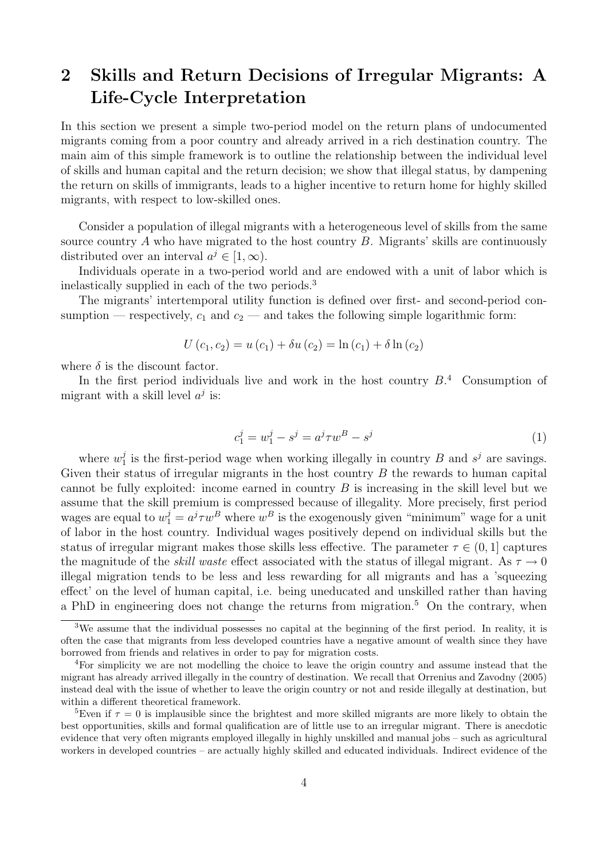## 2 Skills and Return Decisions of Irregular Migrants: A Life-Cycle Interpretation

In this section we present a simple two-period model on the return plans of undocumented migrants coming from a poor country and already arrived in a rich destination country. The main aim of this simple framework is to outline the relationship between the individual level of skills and human capital and the return decision; we show that illegal status, by dampening the return on skills of immigrants, leads to a higher incentive to return home for highly skilled migrants, with respect to low-skilled ones.

Consider a population of illegal migrants with a heterogeneous level of skills from the same source country  $A$  who have migrated to the host country  $B$ . Migrants' skills are continuously distributed over an interval  $a^j \in [1,\infty)$ .

Individuals operate in a two-period world and are endowed with a unit of labor which is inelastically supplied in each of the two periods.<sup>3</sup>

The migrants' intertemporal utility function is defined over first- and second-period consumption — respectively,  $c_1$  and  $c_2$  — and takes the following simple logarithmic form:

$$
U(c_1, c_2) = u(c_1) + \delta u(c_2) = \ln(c_1) + \delta \ln(c_2)
$$

where  $\delta$  is the discount factor.

In the first period individuals live and work in the host country  $B<sup>4</sup>$ . Consumption of migrant with a skill level  $a^j$  is:

$$
c_1^j = w_1^j - s^j = a^j \tau w^B - s^j \tag{1}
$$

where  $w_1^j$  $j<sub>1</sub>$  is the first-period wage when working illegally in country B and  $s<sup>j</sup>$  are savings. Given their status of irregular migrants in the host country  $B$  the rewards to human capital cannot be fully exploited: income earned in country  $B$  is increasing in the skill level but we assume that the skill premium is compressed because of illegality. More precisely, first period wages are equal to  $w_1^j = a^j \tau w^B$  where  $w^B$  is the exogenously given "minimum" wage for a unit of labor in the host country. Individual wages positively depend on individual skills but the status of irregular migrant makes those skills less effective. The parameter  $\tau \in (0, 1]$  captures the magnitude of the *skill waste* effect associated with the status of illegal migrant. As  $\tau \to 0$ illegal migration tends to be less and less rewarding for all migrants and has a 'squeezing effect' on the level of human capital, i.e. being uneducated and unskilled rather than having a PhD in engineering does not change the returns from migration.<sup>5</sup> On the contrary, when

<sup>&</sup>lt;sup>3</sup>We assume that the individual possesses no capital at the beginning of the first period. In reality, it is often the case that migrants from less developed countries have a negative amount of wealth since they have borrowed from friends and relatives in order to pay for migration costs.

<sup>4</sup>For simplicity we are not modelling the choice to leave the origin country and assume instead that the migrant has already arrived illegally in the country of destination. We recall that Orrenius and Zavodny (2005) instead deal with the issue of whether to leave the origin country or not and reside illegally at destination, but within a different theoretical framework.

<sup>&</sup>lt;sup>5</sup>Even if  $\tau = 0$  is implausible since the brightest and more skilled migrants are more likely to obtain the best opportunities, skills and formal qualification are of little use to an irregular migrant. There is anecdotic evidence that very often migrants employed illegally in highly unskilled and manual jobs – such as agricultural workers in developed countries – are actually highly skilled and educated individuals. Indirect evidence of the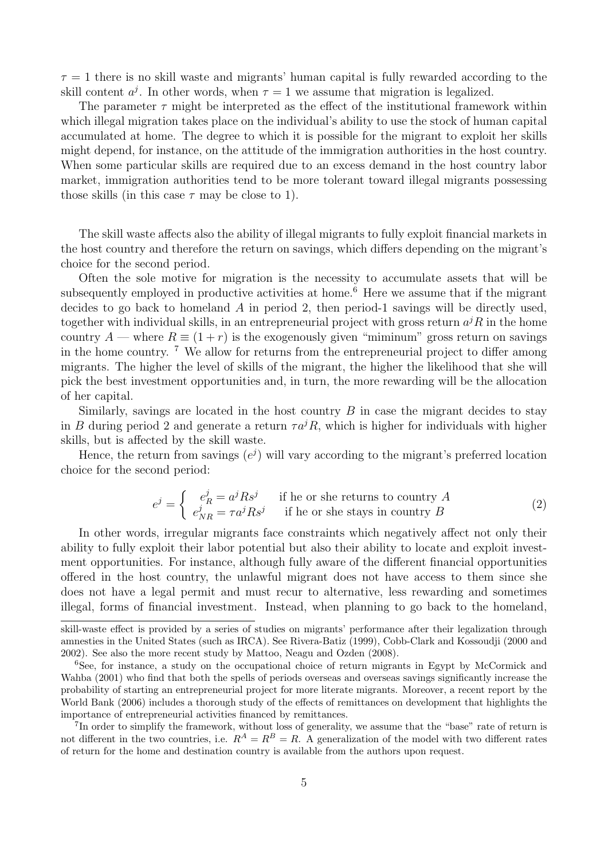$\tau = 1$  there is no skill waste and migrants' human capital is fully rewarded according to the skill content  $a^j$ . In other words, when  $\tau = 1$  we assume that migration is legalized.

The parameter  $\tau$  might be interpreted as the effect of the institutional framework within which illegal migration takes place on the individual's ability to use the stock of human capital accumulated at home. The degree to which it is possible for the migrant to exploit her skills might depend, for instance, on the attitude of the immigration authorities in the host country. When some particular skills are required due to an excess demand in the host country labor market, immigration authorities tend to be more tolerant toward illegal migrants possessing those skills (in this case  $\tau$  may be close to 1).

The skill waste affects also the ability of illegal migrants to fully exploit financial markets in the host country and therefore the return on savings, which differs depending on the migrant's choice for the second period.

Often the sole motive for migration is the necessity to accumulate assets that will be subsequently employed in productive activities at home.<sup>6</sup> Here we assume that if the migrant decides to go back to homeland A in period 2, then period-1 savings will be directly used, together with individual skills, in an entrepreneurial project with gross return  $a^{j}R$  in the home country A — where  $R \equiv (1+r)$  is the exogenously given "miminum" gross return on savings in the home country.  $\frac{7}{1}$  We allow for returns from the entrepreneurial project to differ among migrants. The higher the level of skills of the migrant, the higher the likelihood that she will pick the best investment opportunities and, in turn, the more rewarding will be the allocation of her capital.

Similarly, savings are located in the host country  $B$  in case the migrant decides to stay in B during period 2 and generate a return  $\tau a^{j}R$ , which is higher for individuals with higher skills, but is affected by the skill waste.

Hence, the return from savings  $(e^{j})$  will vary according to the migrant's preferred location choice for the second period:

$$
e^{j} = \begin{cases} e^{j}_{R} = a^{j} R s^{j} & \text{if he or she returns to country } A \\ e^{j}_{NR} = \tau a^{j} R s^{j} & \text{if he or she stays in country } B \end{cases}
$$
 (2)

In other words, irregular migrants face constraints which negatively affect not only their ability to fully exploit their labor potential but also their ability to locate and exploit investment opportunities. For instance, although fully aware of the different financial opportunities offered in the host country, the unlawful migrant does not have access to them since she does not have a legal permit and must recur to alternative, less rewarding and sometimes illegal, forms of financial investment. Instead, when planning to go back to the homeland,

skill-waste effect is provided by a series of studies on migrants' performance after their legalization through amnesties in the United States (such as IRCA). See Rivera-Batiz (1999), Cobb-Clark and Kossoudji (2000 and 2002). See also the more recent study by Mattoo, Neagu and Ozden (2008).

<sup>6</sup>See, for instance, a study on the occupational choice of return migrants in Egypt by McCormick and Wahba (2001) who find that both the spells of periods overseas and overseas savings significantly increase the probability of starting an entrepreneurial project for more literate migrants. Moreover, a recent report by the World Bank (2006) includes a thorough study of the effects of remittances on development that highlights the importance of entrepreneurial activities financed by remittances.

<sup>&</sup>lt;sup>7</sup>In order to simplify the framework, without loss of generality, we assume that the "base" rate of return is not different in the two countries, i.e.  $R^A = R^B = R$ . A generalization of the model with two different rates of return for the home and destination country is available from the authors upon request.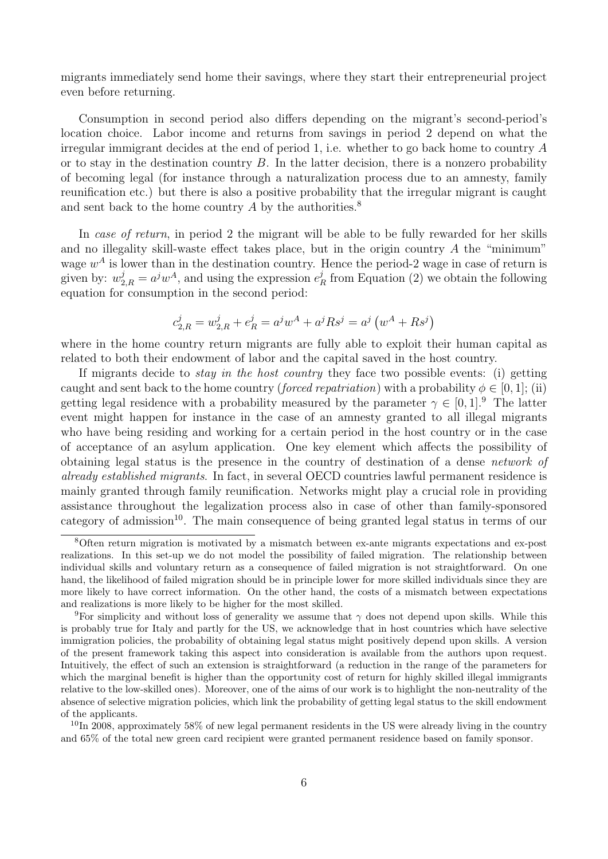migrants immediately send home their savings, where they start their entrepreneurial project even before returning.

Consumption in second period also differs depending on the migrant's second-period's location choice. Labor income and returns from savings in period 2 depend on what the irregular immigrant decides at the end of period 1, i.e. whether to go back home to country A or to stay in the destination country  $B$ . In the latter decision, there is a nonzero probability of becoming legal (for instance through a naturalization process due to an amnesty, family reunification etc.) but there is also a positive probability that the irregular migrant is caught and sent back to the home country  $A$  by the authorities.<sup>8</sup>

In case of return, in period 2 the migrant will be able to be fully rewarded for her skills and no illegality skill-waste effect takes place, but in the origin country  $A$  the "minimum" wage  $w^A$  is lower than in the destination country. Hence the period-2 wage in case of return is given by:  $w_{2,R}^j = a^j w^A$ , and using the expression  $e_I^j$  $R<sub>R</sub>$  from Equation (2) we obtain the following equation for consumption in the second period:

$$
c_{2,R}^j = w_{2,R}^j + e_R^j = a^j w^A + a^j R s^j = a^j (w^A + R s^j)
$$

where in the home country return migrants are fully able to exploit their human capital as related to both their endowment of labor and the capital saved in the host country.

If migrants decide to stay in the host country they face two possible events: (i) getting caught and sent back to the home country (forced repatriation) with a probability  $\phi \in [0, 1]$ ; (ii) getting legal residence with a probability measured by the parameter  $\gamma \in [0,1]$ .<sup>9</sup> The latter event might happen for instance in the case of an amnesty granted to all illegal migrants who have being residing and working for a certain period in the host country or in the case of acceptance of an asylum application. One key element which affects the possibility of obtaining legal status is the presence in the country of destination of a dense network of already established migrants. In fact, in several OECD countries lawful permanent residence is mainly granted through family reunification. Networks might play a crucial role in providing assistance throughout the legalization process also in case of other than family-sponsored category of admission<sup>10</sup>. The main consequence of being granted legal status in terms of our

 $10$ In 2008, approximately 58% of new legal permanent residents in the US were already living in the country and 65% of the total new green card recipient were granted permanent residence based on family sponsor.

<sup>&</sup>lt;sup>8</sup>Often return migration is motivated by a mismatch between ex-ante migrants expectations and ex-post realizations. In this set-up we do not model the possibility of failed migration. The relationship between individual skills and voluntary return as a consequence of failed migration is not straightforward. On one hand, the likelihood of failed migration should be in principle lower for more skilled individuals since they are more likely to have correct information. On the other hand, the costs of a mismatch between expectations and realizations is more likely to be higher for the most skilled.

<sup>&</sup>lt;sup>9</sup>For simplicity and without loss of generality we assume that  $\gamma$  does not depend upon skills. While this is probably true for Italy and partly for the US, we acknowledge that in host countries which have selective immigration policies, the probability of obtaining legal status might positively depend upon skills. A version of the present framework taking this aspect into consideration is available from the authors upon request. Intuitively, the effect of such an extension is straightforward (a reduction in the range of the parameters for which the marginal benefit is higher than the opportunity cost of return for highly skilled illegal immigrants relative to the low-skilled ones). Moreover, one of the aims of our work is to highlight the non-neutrality of the absence of selective migration policies, which link the probability of getting legal status to the skill endowment of the applicants.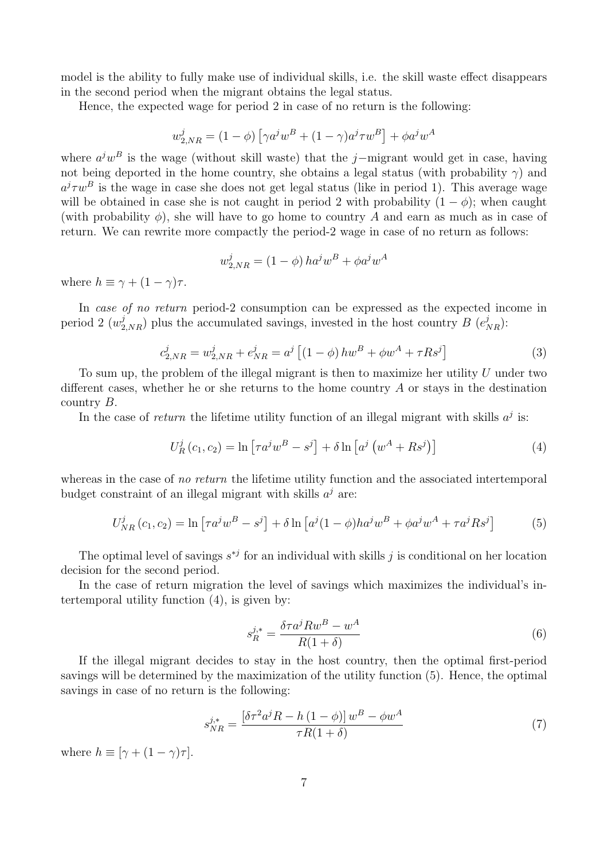model is the ability to fully make use of individual skills, i.e. the skill waste effect disappears in the second period when the migrant obtains the legal status.

Hence, the expected wage for period 2 in case of no return is the following:

$$
w_{2,NR}^{j} = (1 - \phi) \left[ \gamma a^{j} w^{B} + (1 - \gamma) a^{j} \tau w^{B} \right] + \phi a^{j} w^{A}
$$

where  $a^jw^B$  is the wage (without skill waste) that the j–migrant would get in case, having not being deported in the home country, she obtains a legal status (with probability  $\gamma$ ) and  $a^j \tau w^B$  is the wage in case she does not get legal status (like in period 1). This average wage will be obtained in case she is not caught in period 2 with probability  $(1 - \phi)$ ; when caught (with probability  $\phi$ ), she will have to go home to country A and earn as much as in case of return. We can rewrite more compactly the period-2 wage in case of no return as follows:

$$
w_{2,NR}^j = (1 - \phi) h a^j w^B + \phi a^j w^A
$$

where  $h \equiv \gamma + (1 - \gamma)\tau$ .

In case of no return period-2 consumption can be expressed as the expected income in period 2  $(w_{2,NR}^j)$  plus the accumulated savings, invested in the host country B  $(e_{NR}^j)$ :

$$
c_{2,NR}^j = w_{2,NR}^j + e_{NR}^j = a^j \left[ (1 - \phi) \, h w^B + \phi w^A + \tau R s^j \right] \tag{3}
$$

To sum up, the problem of the illegal migrant is then to maximize her utility  $U$  under two different cases, whether he or she returns to the home country  $A$  or stays in the destination country B.

In the case of return the lifetime utility function of an illegal migrant with skills  $a^j$  is:

$$
U_R^j(c_1, c_2) = \ln \left[ \tau a^j w^B - s^j \right] + \delta \ln \left[ a^j \left( w^A + R s^j \right) \right]
$$
 (4)

whereas in the case of no return the lifetime utility function and the associated intertemporal budget constraint of an illegal migrant with skills  $a^j$  are:

$$
U_{NR}^{j}(c_1, c_2) = \ln\left[\tau a^j w^B - s^j\right] + \delta \ln\left[a^j (1-\phi) h a^j w^B + \phi a^j w^A + \tau a^j R s^j\right]
$$
(5)

The optimal level of savings  $s^{*j}$  for an individual with skills j is conditional on her location decision for the second period.

In the case of return migration the level of savings which maximizes the individual's intertemporal utility function (4), is given by:

$$
s_R^{j,*} = \frac{\delta \tau a^j R w^B - w^A}{R(1+\delta)}\tag{6}
$$

If the illegal migrant decides to stay in the host country, then the optimal first-period savings will be determined by the maximization of the utility function (5). Hence, the optimal savings in case of no return is the following:

$$
s_{NR}^{j,*} = \frac{\left[\delta\tau^2 a^j R - h\left(1-\phi\right)\right] w^B - \phi w^A}{\tau R(1+\delta)}\tag{7}
$$

where  $h \equiv [\gamma + (1 - \gamma)\tau]$ .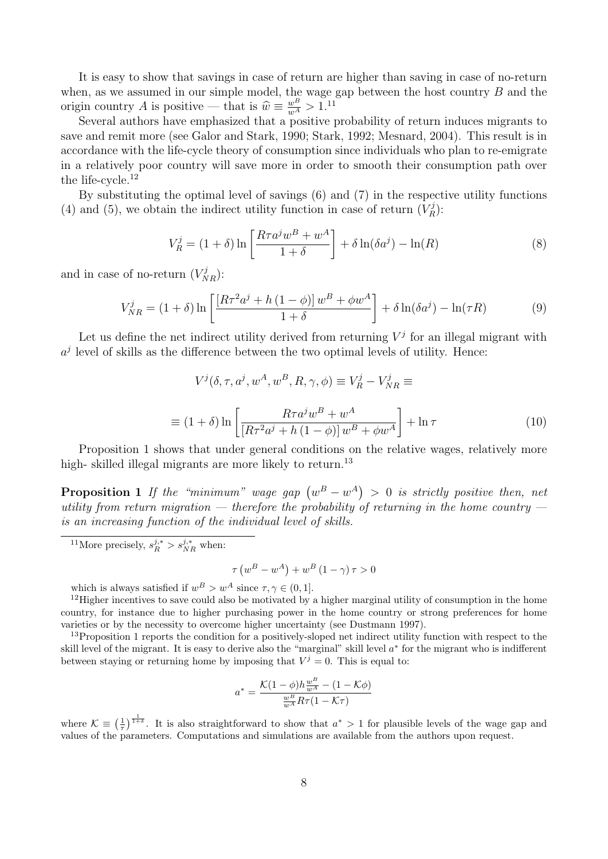It is easy to show that savings in case of return are higher than saving in case of no-return when, as we assumed in our simple model, the wage gap between the host country  $B$  and the origin country A is positive — that is  $\hat{w} \equiv \frac{w^B}{w^A} > 1$ .<sup>11</sup><br>Soveral authors have emphasized that a positive

Several authors have emphasized that a positive probability of return induces migrants to save and remit more (see Galor and Stark, 1990; Stark, 1992; Mesnard, 2004). This result is in accordance with the life-cycle theory of consumption since individuals who plan to re-emigrate in a relatively poor country will save more in order to smooth their consumption path over the life-cycle. $^{12}$ 

By substituting the optimal level of savings (6) and (7) in the respective utility functions (4) and (5), we obtain the indirect utility function in case of return  $(V_R^j)$  $\binom{rj}{R}$ :

$$
V_R^j = (1+\delta)\ln\left[\frac{R\tau a^j w^B + w^A}{1+\delta}\right] + \delta\ln(\delta a^j) - \ln(R) \tag{8}
$$

and in case of no-return  $(V_{NR}^j)$ :

$$
V_{NR}^{j} = (1+\delta)\ln\left[\frac{\left[R\tau^{2}a^{j} + h\left(1-\phi\right)\right]w^{B} + \phi w^{A}}{1+\delta}\right] + \delta\ln(\delta a^{j}) - \ln(\tau R) \tag{9}
$$

Let us define the net indirect utility derived from returning  $V^j$  for an illegal migrant with  $a^j$  level of skills as the difference between the two optimal levels of utility. Hence:

$$
V^j(\delta, \tau, a^j, w^A, w^B, R, \gamma, \phi) \equiv V^j_R - V^j_{NR} \equiv
$$
  

$$
\equiv (1 + \delta) \ln \left[ \frac{R \tau a^j w^B + w^A}{[R \tau^2 a^j + h (1 - \phi)] w^B + \phi w^A} \right] + \ln \tau
$$
 (10)

Proposition 1 shows that under general conditions on the relative wages, relatively more high- skilled illegal migrants are more likely to return.<sup>13</sup>

**Proposition 1** If the "minimum" wage gap  $(w^B - w^A) > 0$  is strictly positive then, net utility from return migration — therefore the probability of returning in the home country is an increasing function of the individual level of skills.

<sup>11</sup>More precisely,  $s_R^{j,*} > s_{NR}^{j,*}$  when:

$$
\tau \left( w^B - w^A \right) + w^B \left( 1 - \gamma \right) \tau > 0
$$

which is always satisfied if  $w^B > w^A$  since  $\tau, \gamma \in (0, 1]$ .

<sup>12</sup>Higher incentives to save could also be motivated by a higher marginal utility of consumption in the home country, for instance due to higher purchasing power in the home country or strong preferences for home varieties or by the necessity to overcome higher uncertainty (see Dustmann 1997).

<sup>13</sup>Proposition 1 reports the condition for a positively-sloped net indirect utility function with respect to the skill level of the migrant. It is easy to derive also the "marginal" skill level  $a^*$  for the migrant who is indifferent between staying or returning home by imposing that  $V^j = 0$ . This is equal to:

$$
a^* = \frac{\mathcal{K}(1-\phi)h\frac{w^B}{w^A} - (1-\mathcal{K}\phi)}{\frac{w^B}{w^A}R\tau(1-\mathcal{K}\tau)}
$$

where  $\mathcal{K} \equiv \left(\frac{1}{\tau}\right)^{\frac{1}{1+\delta}}$ . It is also straightforward to show that  $a^* > 1$  for plausible levels of the wage gap and values of the parameters. Computations and simulations are available from the authors upon request.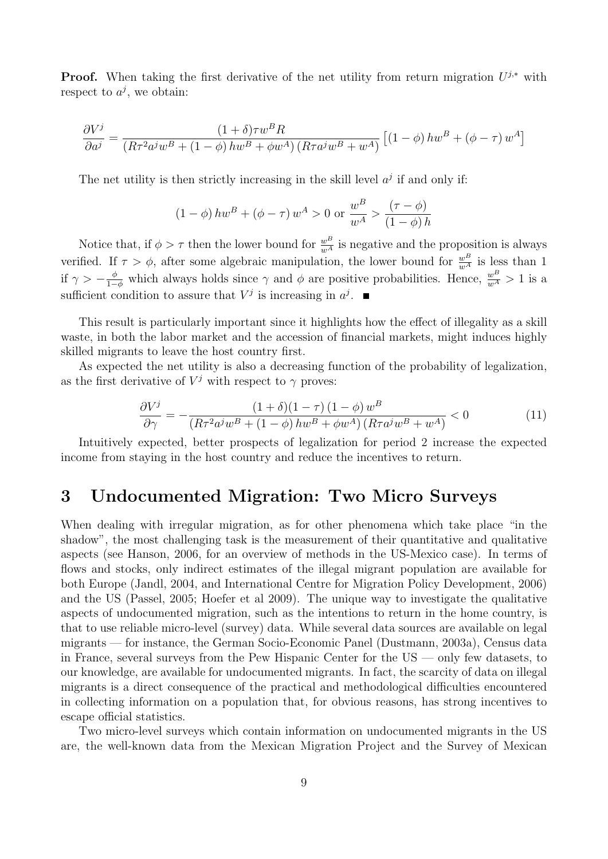**Proof.** When taking the first derivative of the net utility from return migration  $U^{j,*}$  with respect to  $a^j$ , we obtain:

$$
\frac{\partial V^j}{\partial a^j} = \frac{(1+\delta)\tau w^B R}{(R\tau^2 a^j w^B + (1-\phi) h w^B + \phi w^A) (R\tau a^j w^B + w^A)} \left[ (1-\phi) h w^B + (\phi - \tau) w^A \right]
$$

The net utility is then strictly increasing in the skill level  $a^j$  if and only if:

$$
(1 - \phi)hw^{B} + (\phi - \tau)w^{A} > 0
$$
 or  $\frac{w^{B}}{w^{A}} > \frac{(\tau - \phi)}{(1 - \phi)h}$ 

Notice that, if  $\phi > \tau$  then the lower bound for  $\frac{w}{w^A}$  is negative and the proposition is always verified. If  $\tau > \phi$ , after some algebraic manipulation, the lower bound for  $\frac{w}{w^A}$  is less than 1 if  $\gamma > -\frac{\phi}{1-\phi}$  which always holds since  $\gamma$  and  $\phi$  are positive probabilities. Hence,  $\frac{w}{w^A} > 1$  is a sufficient condition to assure that  $V^j$  is increasing in  $a^j$ .

This result is particularly important since it highlights how the effect of illegality as a skill waste, in both the labor market and the accession of financial markets, might induces highly skilled migrants to leave the host country first.

As expected the net utility is also a decreasing function of the probability of legalization, as the first derivative of  $V^j$  with respect to  $\gamma$  proves:

$$
\frac{\partial V^j}{\partial \gamma} = -\frac{(1+\delta)(1-\tau)(1-\phi)w^B}{(R\tau^2 a^j w^B + (1-\phi)hw^B + \phi w^A)(R\tau a^j w^B + w^A)} < 0
$$
\n(11)

Intuitively expected, better prospects of legalization for period 2 increase the expected income from staying in the host country and reduce the incentives to return.

## 3 Undocumented Migration: Two Micro Surveys

When dealing with irregular migration, as for other phenomena which take place "in the shadow", the most challenging task is the measurement of their quantitative and qualitative aspects (see Hanson, 2006, for an overview of methods in the US-Mexico case). In terms of flows and stocks, only indirect estimates of the illegal migrant population are available for both Europe (Jandl, 2004, and International Centre for Migration Policy Development, 2006) and the US (Passel, 2005; Hoefer et al 2009). The unique way to investigate the qualitative aspects of undocumented migration, such as the intentions to return in the home country, is that to use reliable micro-level (survey) data. While several data sources are available on legal migrants — for instance, the German Socio-Economic Panel (Dustmann, 2003a), Census data in France, several surveys from the Pew Hispanic Center for the US — only few datasets, to our knowledge, are available for undocumented migrants. In fact, the scarcity of data on illegal migrants is a direct consequence of the practical and methodological difficulties encountered in collecting information on a population that, for obvious reasons, has strong incentives to escape official statistics.

Two micro-level surveys which contain information on undocumented migrants in the US are, the well-known data from the Mexican Migration Project and the Survey of Mexican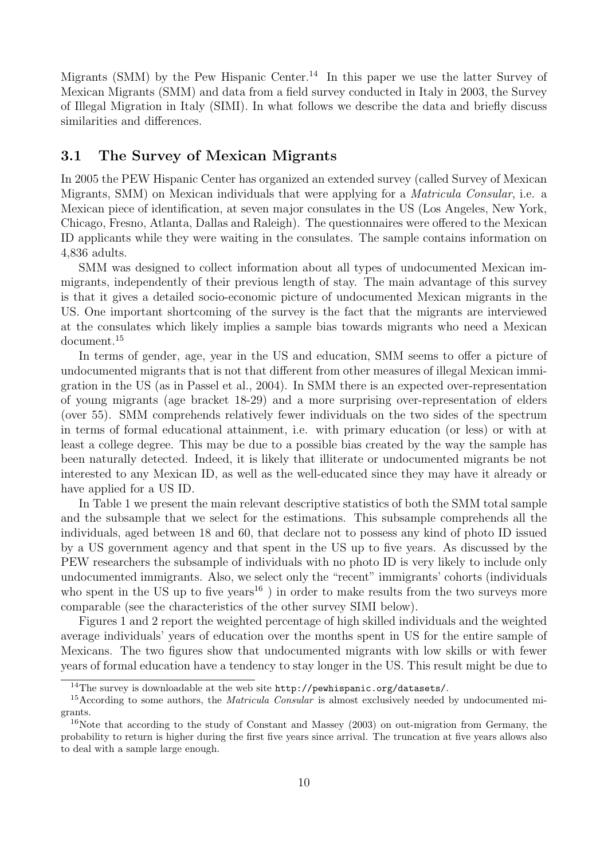Migrants (SMM) by the Pew Hispanic Center.<sup>14</sup> In this paper we use the latter Survey of Mexican Migrants (SMM) and data from a field survey conducted in Italy in 2003, the Survey of Illegal Migration in Italy (SIMI). In what follows we describe the data and briefly discuss similarities and differences.

#### 3.1 The Survey of Mexican Migrants

In 2005 the PEW Hispanic Center has organized an extended survey (called Survey of Mexican Migrants, SMM) on Mexican individuals that were applying for a Matricula Consular, i.e. a Mexican piece of identification, at seven major consulates in the US (Los Angeles, New York, Chicago, Fresno, Atlanta, Dallas and Raleigh). The questionnaires were offered to the Mexican ID applicants while they were waiting in the consulates. The sample contains information on 4,836 adults.

SMM was designed to collect information about all types of undocumented Mexican immigrants, independently of their previous length of stay. The main advantage of this survey is that it gives a detailed socio-economic picture of undocumented Mexican migrants in the US. One important shortcoming of the survey is the fact that the migrants are interviewed at the consulates which likely implies a sample bias towards migrants who need a Mexican document.<sup>15</sup>

In terms of gender, age, year in the US and education, SMM seems to offer a picture of undocumented migrants that is not that different from other measures of illegal Mexican immigration in the US (as in Passel et al., 2004). In SMM there is an expected over-representation of young migrants (age bracket 18-29) and a more surprising over-representation of elders (over 55). SMM comprehends relatively fewer individuals on the two sides of the spectrum in terms of formal educational attainment, i.e. with primary education (or less) or with at least a college degree. This may be due to a possible bias created by the way the sample has been naturally detected. Indeed, it is likely that illiterate or undocumented migrants be not interested to any Mexican ID, as well as the well-educated since they may have it already or have applied for a US ID.

In Table 1 we present the main relevant descriptive statistics of both the SMM total sample and the subsample that we select for the estimations. This subsample comprehends all the individuals, aged between 18 and 60, that declare not to possess any kind of photo ID issued by a US government agency and that spent in the US up to five years. As discussed by the PEW researchers the subsample of individuals with no photo ID is very likely to include only undocumented immigrants. Also, we select only the "recent" immigrants' cohorts (individuals who spent in the US up to five years<sup>16</sup>) in order to make results from the two surveys more comparable (see the characteristics of the other survey SIMI below).

Figures 1 and 2 report the weighted percentage of high skilled individuals and the weighted average individuals' years of education over the months spent in US for the entire sample of Mexicans. The two figures show that undocumented migrants with low skills or with fewer years of formal education have a tendency to stay longer in the US. This result might be due to

<sup>14</sup>The survey is downloadable at the web site http://pewhispanic.org/datasets/.

 $15$ According to some authors, the *Matricula Consular* is almost exclusively needed by undocumented migrants.

<sup>&</sup>lt;sup>16</sup>Note that according to the study of Constant and Massey (2003) on out-migration from Germany, the probability to return is higher during the first five years since arrival. The truncation at five years allows also to deal with a sample large enough.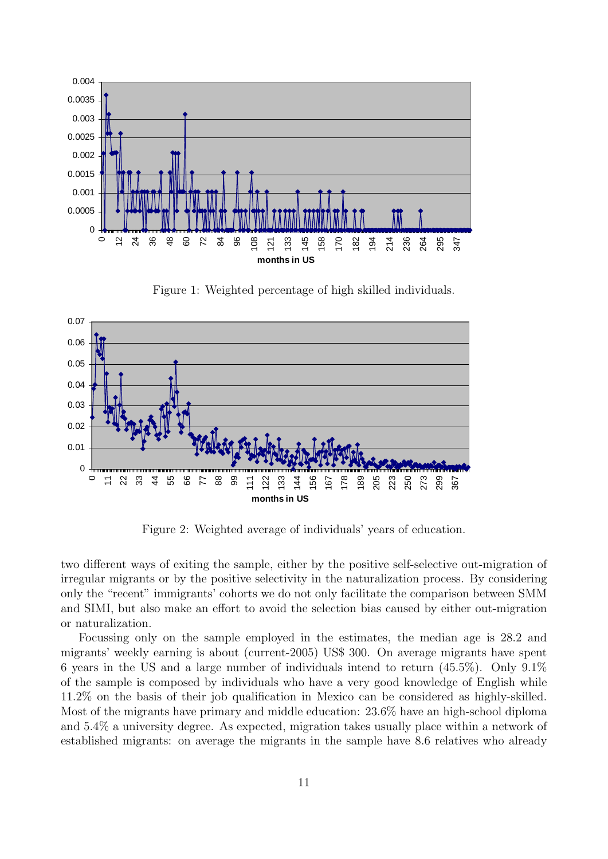

Figure 1: Weighted percentage of high skilled individuals.



Figure 2: Weighted average of individuals' years of education.

two different ways of exiting the sample, either by the positive self-selective out-migration of irregular migrants or by the positive selectivity in the naturalization process. By considering only the "recent" immigrants' cohorts we do not only facilitate the comparison between SMM and SIMI, but also make an effort to avoid the selection bias caused by either out-migration or naturalization.

Focussing only on the sample employed in the estimates, the median age is 28.2 and migrants' weekly earning is about (current-2005) US\$ 300. On average migrants have spent 6 years in the US and a large number of individuals intend to return (45.5%). Only 9.1% of the sample is composed by individuals who have a very good knowledge of English while 11.2% on the basis of their job qualification in Mexico can be considered as highly-skilled. Most of the migrants have primary and middle education: 23.6% have an high-school diploma and 5.4% a university degree. As expected, migration takes usually place within a network of established migrants: on average the migrants in the sample have 8.6 relatives who already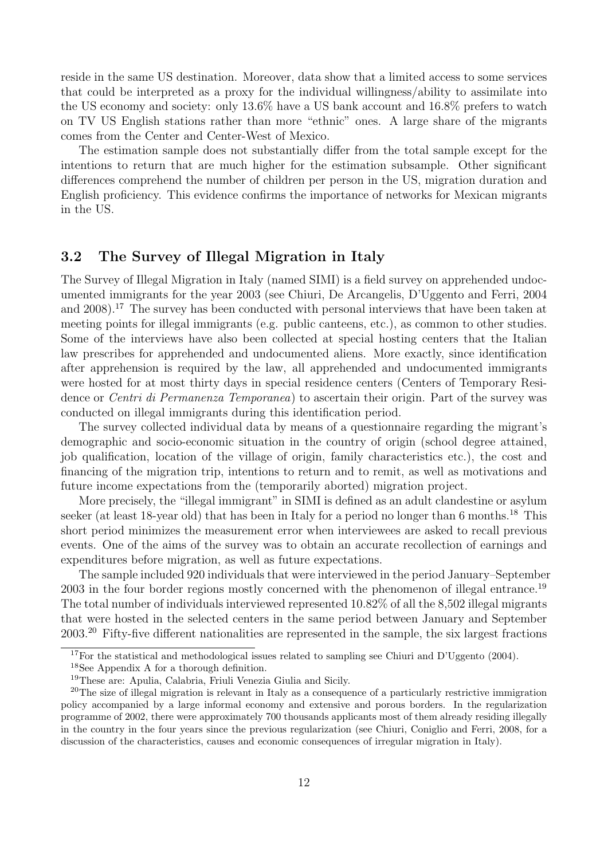reside in the same US destination. Moreover, data show that a limited access to some services that could be interpreted as a proxy for the individual willingness/ability to assimilate into the US economy and society: only 13.6% have a US bank account and 16.8% prefers to watch on TV US English stations rather than more "ethnic" ones. A large share of the migrants comes from the Center and Center-West of Mexico.

The estimation sample does not substantially differ from the total sample except for the intentions to return that are much higher for the estimation subsample. Other significant differences comprehend the number of children per person in the US, migration duration and English proficiency. This evidence confirms the importance of networks for Mexican migrants in the US.

#### 3.2 The Survey of Illegal Migration in Italy

The Survey of Illegal Migration in Italy (named SIMI) is a field survey on apprehended undocumented immigrants for the year 2003 (see Chiuri, De Arcangelis, D'Uggento and Ferri, 2004 and 2008).<sup>17</sup> The survey has been conducted with personal interviews that have been taken at meeting points for illegal immigrants (e.g. public canteens, etc.), as common to other studies. Some of the interviews have also been collected at special hosting centers that the Italian law prescribes for apprehended and undocumented aliens. More exactly, since identification after apprehension is required by the law, all apprehended and undocumented immigrants were hosted for at most thirty days in special residence centers (Centers of Temporary Residence or *Centri di Permanenza Temporanea*) to ascertain their origin. Part of the survey was conducted on illegal immigrants during this identification period.

The survey collected individual data by means of a questionnaire regarding the migrant's demographic and socio-economic situation in the country of origin (school degree attained, job qualification, location of the village of origin, family characteristics etc.), the cost and financing of the migration trip, intentions to return and to remit, as well as motivations and future income expectations from the (temporarily aborted) migration project.

More precisely, the "illegal immigrant" in SIMI is defined as an adult clandestine or asylum seeker (at least 18-year old) that has been in Italy for a period no longer than 6 months.<sup>18</sup> This short period minimizes the measurement error when interviewees are asked to recall previous events. One of the aims of the survey was to obtain an accurate recollection of earnings and expenditures before migration, as well as future expectations.

The sample included 920 individuals that were interviewed in the period January–September 2003 in the four border regions mostly concerned with the phenomenon of illegal entrance.<sup>19</sup> The total number of individuals interviewed represented 10.82% of all the 8,502 illegal migrants that were hosted in the selected centers in the same period between January and September 2003.<sup>20</sup> Fifty-five different nationalities are represented in the sample, the six largest fractions

<sup>&</sup>lt;sup>17</sup>For the statistical and methodological issues related to sampling see Chiuri and D'Uggento (2004).

<sup>18</sup>See Appendix A for a thorough definition.

<sup>19</sup>These are: Apulia, Calabria, Friuli Venezia Giulia and Sicily.

 $^{20}$ The size of illegal migration is relevant in Italy as a consequence of a particularly restrictive immigration policy accompanied by a large informal economy and extensive and porous borders. In the regularization programme of 2002, there were approximately 700 thousands applicants most of them already residing illegally in the country in the four years since the previous regularization (see Chiuri, Coniglio and Ferri, 2008, for a discussion of the characteristics, causes and economic consequences of irregular migration in Italy).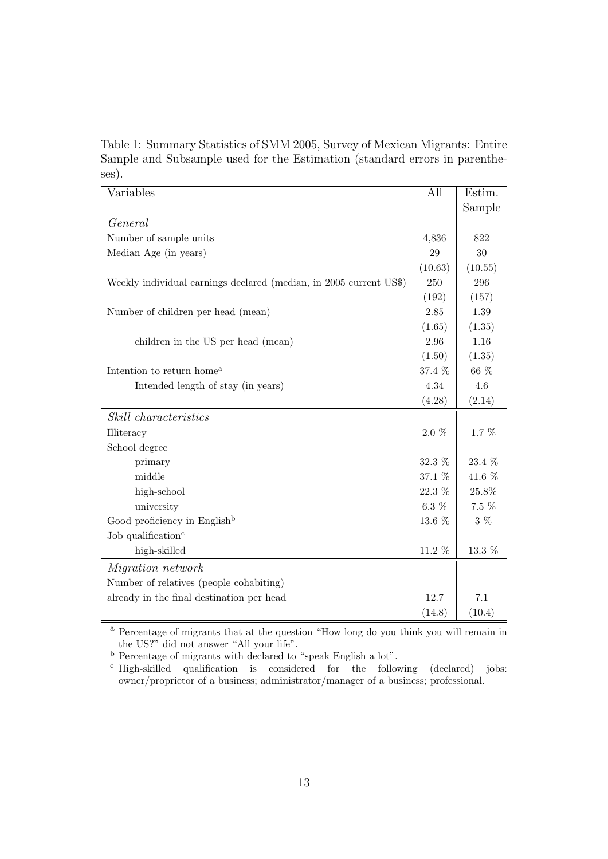Table 1: Summary Statistics of SMM 2005, Survey of Mexican Migrants: Entire Sample and Subsample used for the Estimation (standard errors in parentheses).

| Variables                                                          | All      | Estim.  |
|--------------------------------------------------------------------|----------|---------|
|                                                                    |          | Sample  |
| General                                                            |          |         |
| Number of sample units                                             | 4,836    | 822     |
| Median Age (in years)                                              | 29       | 30      |
|                                                                    | (10.63)  | (10.55) |
| Weekly individual earnings declared (median, in 2005 current US\$) | 250      | 296     |
|                                                                    | (192)    | (157)   |
| Number of children per head (mean)                                 | 2.85     | 1.39    |
|                                                                    | (1.65)   | (1.35)  |
| children in the US per head (mean)                                 | 2.96     | 1.16    |
|                                                                    | (1.50)   | (1.35)  |
| Intention to return home <sup>a</sup>                              | 37.4 %   | 66 %    |
| Intended length of stay (in years)                                 | 4.34     | 4.6     |
|                                                                    | (4.28)   | (2.14)  |
| <i>Skill characteristics</i>                                       |          |         |
| Illiteracy                                                         | $2.0\%$  | 1.7 %   |
| School degree                                                      |          |         |
| primary                                                            | $32.3\%$ | 23.4 %  |
| middle                                                             | 37.1 %   | 41.6 %  |
| high-school                                                        | 22.3 %   | 25.8%   |
| university                                                         | $6.3~\%$ | $7.5\%$ |
| Good proficiency in English <sup>b</sup>                           | 13.6 %   | $3\%$   |
| Job qualification <sup>c</sup>                                     |          |         |
| high-skilled                                                       | 11.2 %   | 13.3 %  |
| <i>Migration network</i>                                           |          |         |
| Number of relatives (people cohabiting)                            |          |         |
| already in the final destination per head                          | 12.7     | 7.1     |
|                                                                    | (14.8)   | (10.4)  |

<sup>a</sup> Percentage of migrants that at the question "How long do you think you will remain in the US?" did not answer "All your life".

<sup>b</sup> Percentage of migrants with declared to "speak English a lot".

<sup>c</sup> High-skilled qualification is considered for the following (declared) jobs: owner/proprietor of a business; administrator/manager of a business; professional.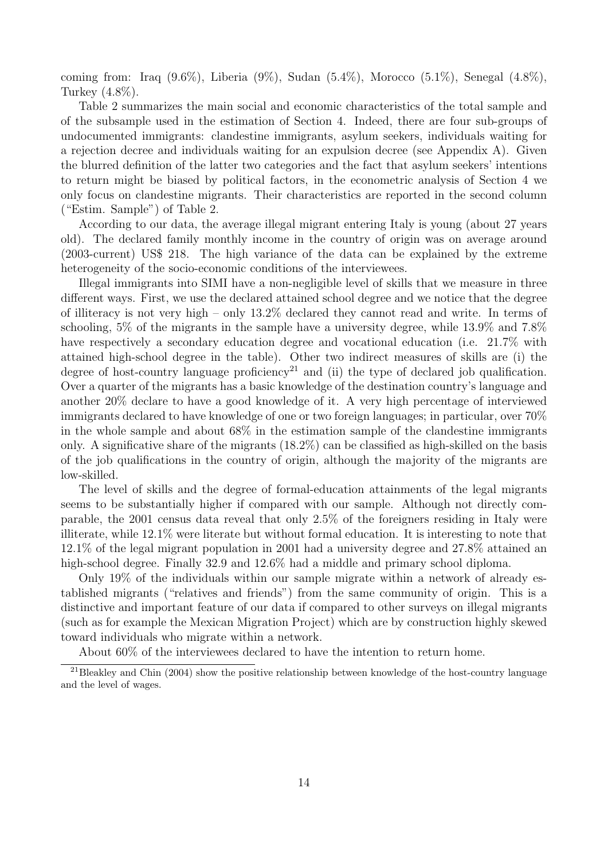coming from: Iraq  $(9.6\%)$ , Liberia  $(9\%)$ , Sudan  $(5.4\%)$ , Morocco  $(5.1\%)$ , Senegal  $(4.8\%)$ , Turkey (4.8%).

Table 2 summarizes the main social and economic characteristics of the total sample and of the subsample used in the estimation of Section 4. Indeed, there are four sub-groups of undocumented immigrants: clandestine immigrants, asylum seekers, individuals waiting for a rejection decree and individuals waiting for an expulsion decree (see Appendix A). Given the blurred definition of the latter two categories and the fact that asylum seekers' intentions to return might be biased by political factors, in the econometric analysis of Section 4 we only focus on clandestine migrants. Their characteristics are reported in the second column ("Estim. Sample") of Table 2.

According to our data, the average illegal migrant entering Italy is young (about 27 years old). The declared family monthly income in the country of origin was on average around (2003-current) US\$ 218. The high variance of the data can be explained by the extreme heterogeneity of the socio-economic conditions of the interviewees.

Illegal immigrants into SIMI have a non-negligible level of skills that we measure in three different ways. First, we use the declared attained school degree and we notice that the degree of illiteracy is not very high – only 13.2% declared they cannot read and write. In terms of schooling, 5% of the migrants in the sample have a university degree, while 13.9% and 7.8% have respectively a secondary education degree and vocational education (i.e. 21.7% with attained high-school degree in the table). Other two indirect measures of skills are (i) the degree of host-country language proficiency<sup>21</sup> and (ii) the type of declared job qualification. Over a quarter of the migrants has a basic knowledge of the destination country's language and another 20% declare to have a good knowledge of it. A very high percentage of interviewed immigrants declared to have knowledge of one or two foreign languages; in particular, over 70% in the whole sample and about 68% in the estimation sample of the clandestine immigrants only. A significative share of the migrants (18.2%) can be classified as high-skilled on the basis of the job qualifications in the country of origin, although the majority of the migrants are low-skilled.

The level of skills and the degree of formal-education attainments of the legal migrants seems to be substantially higher if compared with our sample. Although not directly comparable, the 2001 census data reveal that only 2.5% of the foreigners residing in Italy were illiterate, while 12.1% were literate but without formal education. It is interesting to note that 12.1% of the legal migrant population in 2001 had a university degree and 27.8% attained an high-school degree. Finally 32.9 and 12.6% had a middle and primary school diploma.

Only 19% of the individuals within our sample migrate within a network of already established migrants ("relatives and friends") from the same community of origin. This is a distinctive and important feature of our data if compared to other surveys on illegal migrants (such as for example the Mexican Migration Project) which are by construction highly skewed toward individuals who migrate within a network.

About 60% of the interviewees declared to have the intention to return home.

<sup>21</sup>Bleakley and Chin (2004) show the positive relationship between knowledge of the host-country language and the level of wages.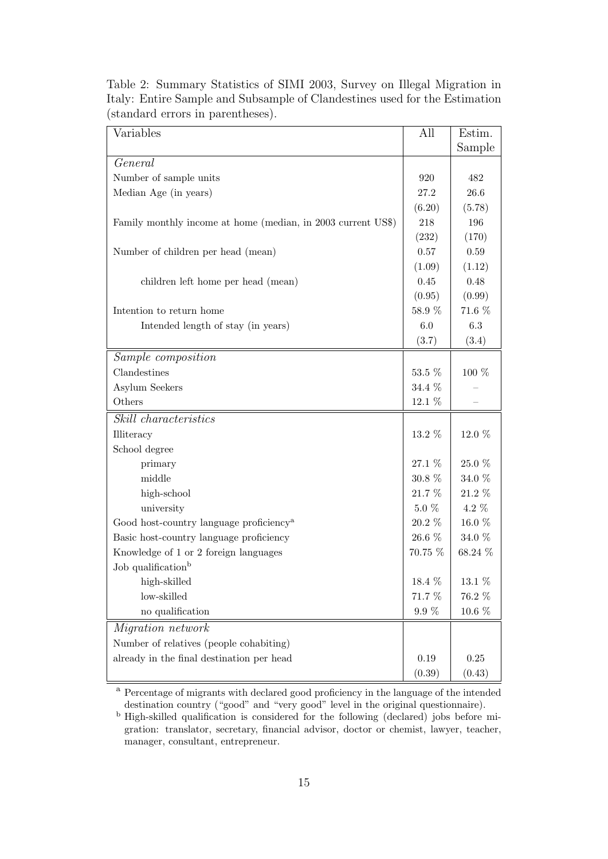| Variables                                                    | All       | Estim.    |
|--------------------------------------------------------------|-----------|-----------|
|                                                              |           | Sample    |
| General                                                      |           |           |
| Number of sample units                                       | 920       | 482       |
| Median Age (in years)                                        | 27.2      | 26.6      |
|                                                              | (6.20)    | (5.78)    |
| Family monthly income at home (median, in 2003 current US\$) | 218       | 196       |
|                                                              | (232)     | (170)     |
| Number of children per head (mean)                           | 0.57      | 0.59      |
|                                                              | (1.09)    | (1.12)    |
| children left home per head (mean)                           | 0.45      | 0.48      |
|                                                              | (0.95)    | (0.99)    |
| Intention to return home                                     | 58.9 %    | 71.6 %    |
| Intended length of stay (in years)                           | 6.0       | $6.3\,$   |
|                                                              | (3.7)     | (3.4)     |
| Sample composition                                           |           |           |
| Clandestines                                                 | $53.5~\%$ | 100 %     |
| Asylum Seekers                                               | 34.4 %    |           |
| Others                                                       | 12.1 %    |           |
| <i>Skill characteristics</i>                                 |           |           |
| Illiteracy                                                   | 13.2 %    | 12.0 %    |
| School degree                                                |           |           |
| primary                                                      | 27.1 %    | 25.0 %    |
| middle                                                       | 30.8 %    | 34.0 %    |
| high-school                                                  | 21.7 %    | $21.2~\%$ |
| university                                                   | $5.0\%$   | 4.2 %     |
| Good host-country language proficiency <sup>a</sup>          | 20.2 %    | $16.0~\%$ |
| Basic host-country language proficiency                      | 26.6 %    | 34.0 %    |
| Knowledge of 1 or 2 foreign languages                        | 70.75 %   | 68.24 %   |
| Job qualification <sup>b</sup>                               |           |           |
| high-skilled                                                 | 18.4 %    | $13.1~\%$ |
| low-skilled                                                  | 71.7 %    | 76.2 %    |
| no qualification                                             | $9.9 \%$  | $10.6~\%$ |
| <i>Migration network</i>                                     |           |           |
| Number of relatives (people cohabiting)                      |           |           |
| already in the final destination per head                    | 0.19      | $0.25\,$  |
|                                                              | (0.39)    | (0.43)    |

Table 2: Summary Statistics of SIMI 2003, Survey on Illegal Migration in Italy: Entire Sample and Subsample of Clandestines used for the Estimation (standard errors in parentheses).

<sup>a</sup> Percentage of migrants with declared good proficiency in the language of the intended destination country ("good" and "very good" level in the original questionnaire).

<sup>b</sup> High-skilled qualification is considered for the following (declared) jobs before migration: translator, secretary, financial advisor, doctor or chemist, lawyer, teacher, manager, consultant, entrepreneur.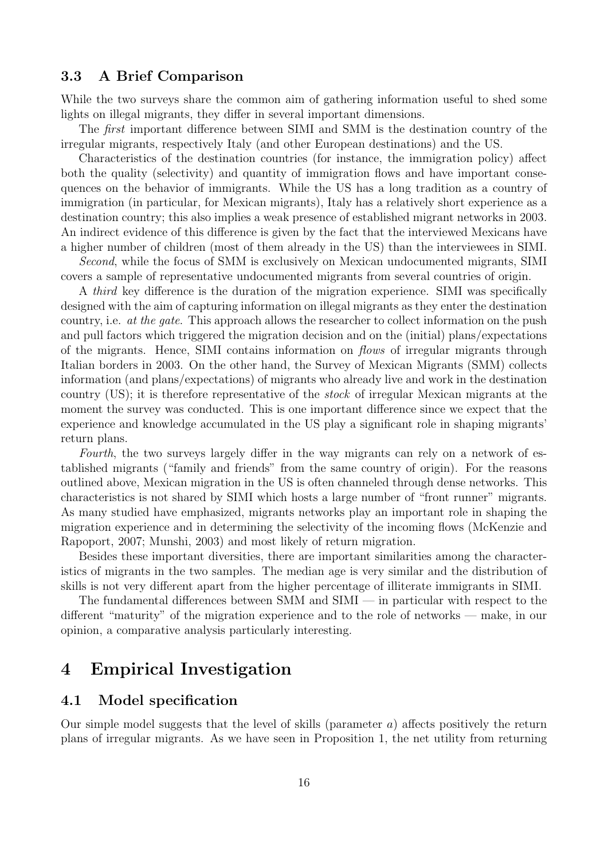#### 3.3 A Brief Comparison

While the two surveys share the common aim of gathering information useful to shed some lights on illegal migrants, they differ in several important dimensions.

The first important difference between SIMI and SMM is the destination country of the irregular migrants, respectively Italy (and other European destinations) and the US.

Characteristics of the destination countries (for instance, the immigration policy) affect both the quality (selectivity) and quantity of immigration flows and have important consequences on the behavior of immigrants. While the US has a long tradition as a country of immigration (in particular, for Mexican migrants), Italy has a relatively short experience as a destination country; this also implies a weak presence of established migrant networks in 2003. An indirect evidence of this difference is given by the fact that the interviewed Mexicans have a higher number of children (most of them already in the US) than the interviewees in SIMI.

Second, while the focus of SMM is exclusively on Mexican undocumented migrants, SIMI covers a sample of representative undocumented migrants from several countries of origin.

A third key difference is the duration of the migration experience. SIMI was specifically designed with the aim of capturing information on illegal migrants as they enter the destination country, i.e. at the gate. This approach allows the researcher to collect information on the push and pull factors which triggered the migration decision and on the (initial) plans/expectations of the migrants. Hence, SIMI contains information on flows of irregular migrants through Italian borders in 2003. On the other hand, the Survey of Mexican Migrants (SMM) collects information (and plans/expectations) of migrants who already live and work in the destination country (US); it is therefore representative of the stock of irregular Mexican migrants at the moment the survey was conducted. This is one important difference since we expect that the experience and knowledge accumulated in the US play a significant role in shaping migrants' return plans.

Fourth, the two surveys largely differ in the way migrants can rely on a network of established migrants ("family and friends" from the same country of origin). For the reasons outlined above, Mexican migration in the US is often channeled through dense networks. This characteristics is not shared by SIMI which hosts a large number of "front runner" migrants. As many studied have emphasized, migrants networks play an important role in shaping the migration experience and in determining the selectivity of the incoming flows (McKenzie and Rapoport, 2007; Munshi, 2003) and most likely of return migration.

Besides these important diversities, there are important similarities among the characteristics of migrants in the two samples. The median age is very similar and the distribution of skills is not very different apart from the higher percentage of illiterate immigrants in SIMI.

The fundamental differences between SMM and SIMI — in particular with respect to the different "maturity" of the migration experience and to the role of networks — make, in our opinion, a comparative analysis particularly interesting.

## 4 Empirical Investigation

#### 4.1 Model specification

Our simple model suggests that the level of skills (parameter  $a$ ) affects positively the return plans of irregular migrants. As we have seen in Proposition 1, the net utility from returning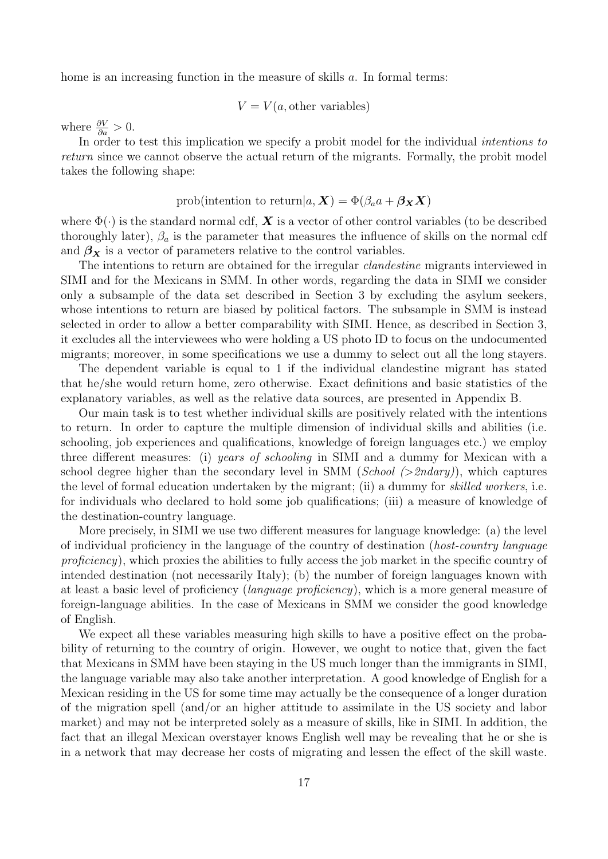home is an increasing function in the measure of skills a. In formal terms:

$$
V = V(a, \text{other variables})
$$

where  $\frac{\partial V}{\partial a} > 0$ .

In order to test this implication we specify a probit model for the individual *intentions to* return since we cannot observe the actual return of the migrants. Formally, the probit model takes the following shape:

#### prob(intention to return $|a, X) = \Phi(\beta_a a + \beta_X X)$

where  $\Phi(\cdot)$  is the standard normal cdf,  $\boldsymbol{X}$  is a vector of other control variables (to be described thoroughly later),  $\beta_a$  is the parameter that measures the influence of skills on the normal cdf and  $\beta_X$  is a vector of parameters relative to the control variables.

The intentions to return are obtained for the irregular clandestine migrants interviewed in SIMI and for the Mexicans in SMM. In other words, regarding the data in SIMI we consider only a subsample of the data set described in Section 3 by excluding the asylum seekers, whose intentions to return are biased by political factors. The subsample in SMM is instead selected in order to allow a better comparability with SIMI. Hence, as described in Section 3, it excludes all the interviewees who were holding a US photo ID to focus on the undocumented migrants; moreover, in some specifications we use a dummy to select out all the long stayers.

The dependent variable is equal to 1 if the individual clandestine migrant has stated that he/she would return home, zero otherwise. Exact definitions and basic statistics of the explanatory variables, as well as the relative data sources, are presented in Appendix B.

Our main task is to test whether individual skills are positively related with the intentions to return. In order to capture the multiple dimension of individual skills and abilities (i.e. schooling, job experiences and qualifications, knowledge of foreign languages etc.) we employ three different measures: (i) years of schooling in SIMI and a dummy for Mexican with a school degree higher than the secondary level in SMM (School  $(>2ndary)$ ), which captures the level of formal education undertaken by the migrant; (ii) a dummy for skilled workers, i.e. for individuals who declared to hold some job qualifications; (iii) a measure of knowledge of the destination-country language.

More precisely, in SIMI we use two different measures for language knowledge: (a) the level of individual proficiency in the language of the country of destination (host-country language proficiency), which proxies the abilities to fully access the job market in the specific country of intended destination (not necessarily Italy); (b) the number of foreign languages known with at least a basic level of proficiency (language proficiency), which is a more general measure of foreign-language abilities. In the case of Mexicans in SMM we consider the good knowledge of English.

We expect all these variables measuring high skills to have a positive effect on the probability of returning to the country of origin. However, we ought to notice that, given the fact that Mexicans in SMM have been staying in the US much longer than the immigrants in SIMI, the language variable may also take another interpretation. A good knowledge of English for a Mexican residing in the US for some time may actually be the consequence of a longer duration of the migration spell (and/or an higher attitude to assimilate in the US society and labor market) and may not be interpreted solely as a measure of skills, like in SIMI. In addition, the fact that an illegal Mexican overstayer knows English well may be revealing that he or she is in a network that may decrease her costs of migrating and lessen the effect of the skill waste.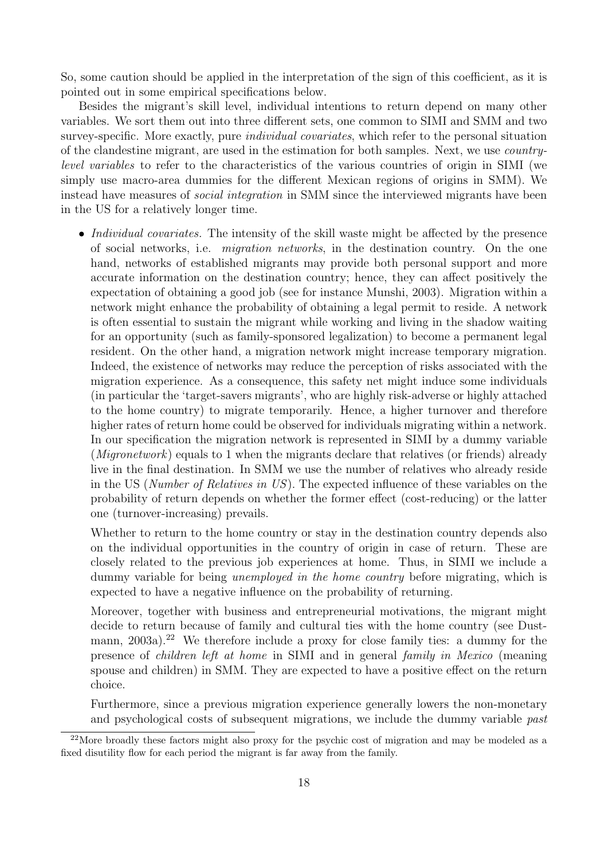So, some caution should be applied in the interpretation of the sign of this coefficient, as it is pointed out in some empirical specifications below.

Besides the migrant's skill level, individual intentions to return depend on many other variables. We sort them out into three different sets, one common to SIMI and SMM and two survey-specific. More exactly, pure *individual covariates*, which refer to the personal situation of the clandestine migrant, are used in the estimation for both samples. Next, we use countrylevel variables to refer to the characteristics of the various countries of origin in SIMI (we simply use macro-area dummies for the different Mexican regions of origins in SMM). We instead have measures of social integration in SMM since the interviewed migrants have been in the US for a relatively longer time.

• *Individual covariates*. The intensity of the skill waste might be affected by the presence of social networks, i.e. migration networks, in the destination country. On the one hand, networks of established migrants may provide both personal support and more accurate information on the destination country; hence, they can affect positively the expectation of obtaining a good job (see for instance Munshi, 2003). Migration within a network might enhance the probability of obtaining a legal permit to reside. A network is often essential to sustain the migrant while working and living in the shadow waiting for an opportunity (such as family-sponsored legalization) to become a permanent legal resident. On the other hand, a migration network might increase temporary migration. Indeed, the existence of networks may reduce the perception of risks associated with the migration experience. As a consequence, this safety net might induce some individuals (in particular the 'target-savers migrants', who are highly risk-adverse or highly attached to the home country) to migrate temporarily. Hence, a higher turnover and therefore higher rates of return home could be observed for individuals migrating within a network. In our specification the migration network is represented in SIMI by a dummy variable (*Migronetwork*) equals to 1 when the migrants declare that relatives (or friends) already live in the final destination. In SMM we use the number of relatives who already reside in the US (Number of Relatives in US). The expected influence of these variables on the probability of return depends on whether the former effect (cost-reducing) or the latter one (turnover-increasing) prevails.

Whether to return to the home country or stay in the destination country depends also on the individual opportunities in the country of origin in case of return. These are closely related to the previous job experiences at home. Thus, in SIMI we include a dummy variable for being *unemployed in the home country* before migrating, which is expected to have a negative influence on the probability of returning.

Moreover, together with business and entrepreneurial motivations, the migrant might decide to return because of family and cultural ties with the home country (see Dustmann, 2003a).<sup>22</sup> We therefore include a proxy for close family ties: a dummy for the presence of children left at home in SIMI and in general family in Mexico (meaning spouse and children) in SMM. They are expected to have a positive effect on the return choice.

Furthermore, since a previous migration experience generally lowers the non-monetary and psychological costs of subsequent migrations, we include the dummy variable past

 $^{22}$ More broadly these factors might also proxy for the psychic cost of migration and may be modeled as a fixed disutility flow for each period the migrant is far away from the family.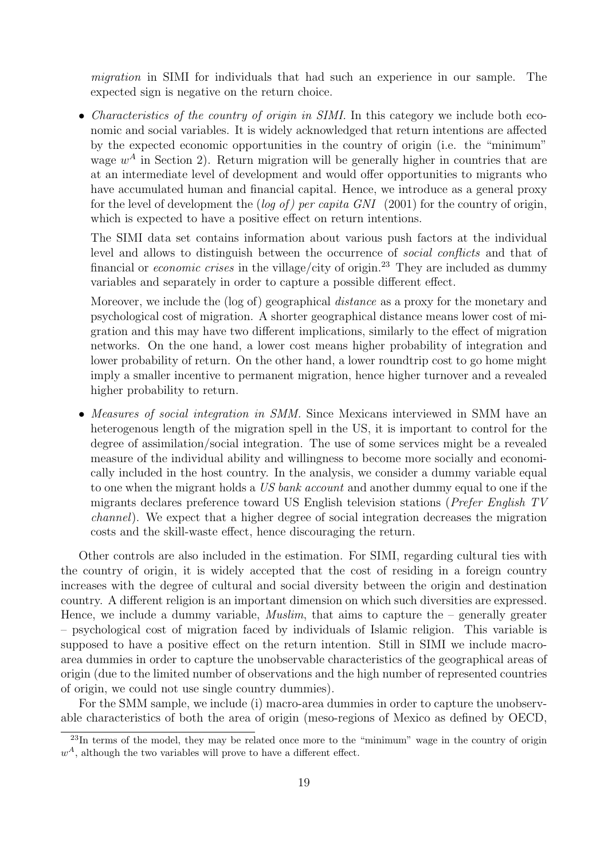migration in SIMI for individuals that had such an experience in our sample. The expected sign is negative on the return choice.

• *Characteristics of the country of origin in SIMI*. In this category we include both economic and social variables. It is widely acknowledged that return intentions are affected by the expected economic opportunities in the country of origin (i.e. the "minimum" wage  $w<sup>A</sup>$  in Section 2). Return migration will be generally higher in countries that are at an intermediate level of development and would offer opportunities to migrants who have accumulated human and financial capital. Hence, we introduce as a general proxy for the level of development the  $(\log of)$  per capita GNI (2001) for the country of origin, which is expected to have a positive effect on return intentions.

The SIMI data set contains information about various push factors at the individual level and allows to distinguish between the occurrence of social conflicts and that of financial or *economic crises* in the village/city of origin.<sup>23</sup> They are included as dummy variables and separately in order to capture a possible different effect.

Moreover, we include the (log of) geographical *distance* as a proxy for the monetary and psychological cost of migration. A shorter geographical distance means lower cost of migration and this may have two different implications, similarly to the effect of migration networks. On the one hand, a lower cost means higher probability of integration and lower probability of return. On the other hand, a lower roundtrip cost to go home might imply a smaller incentive to permanent migration, hence higher turnover and a revealed higher probability to return.

• Measures of social integration in SMM. Since Mexicans interviewed in SMM have an heterogenous length of the migration spell in the US, it is important to control for the degree of assimilation/social integration. The use of some services might be a revealed measure of the individual ability and willingness to become more socially and economically included in the host country. In the analysis, we consider a dummy variable equal to one when the migrant holds a US bank account and another dummy equal to one if the migrants declares preference toward US English television stations (Prefer English TV channel). We expect that a higher degree of social integration decreases the migration costs and the skill-waste effect, hence discouraging the return.

Other controls are also included in the estimation. For SIMI, regarding cultural ties with the country of origin, it is widely accepted that the cost of residing in a foreign country increases with the degree of cultural and social diversity between the origin and destination country. A different religion is an important dimension on which such diversities are expressed. Hence, we include a dummy variable, *Muslim*, that aims to capture the  $-$  generally greater – psychological cost of migration faced by individuals of Islamic religion. This variable is supposed to have a positive effect on the return intention. Still in SIMI we include macroarea dummies in order to capture the unobservable characteristics of the geographical areas of origin (due to the limited number of observations and the high number of represented countries of origin, we could not use single country dummies).

For the SMM sample, we include (i) macro-area dummies in order to capture the unobservable characteristics of both the area of origin (meso-regions of Mexico as defined by OECD,

 $^{23}$ In terms of the model, they may be related once more to the "minimum" wage in the country of origin  $w<sup>A</sup>$ , although the two variables will prove to have a different effect.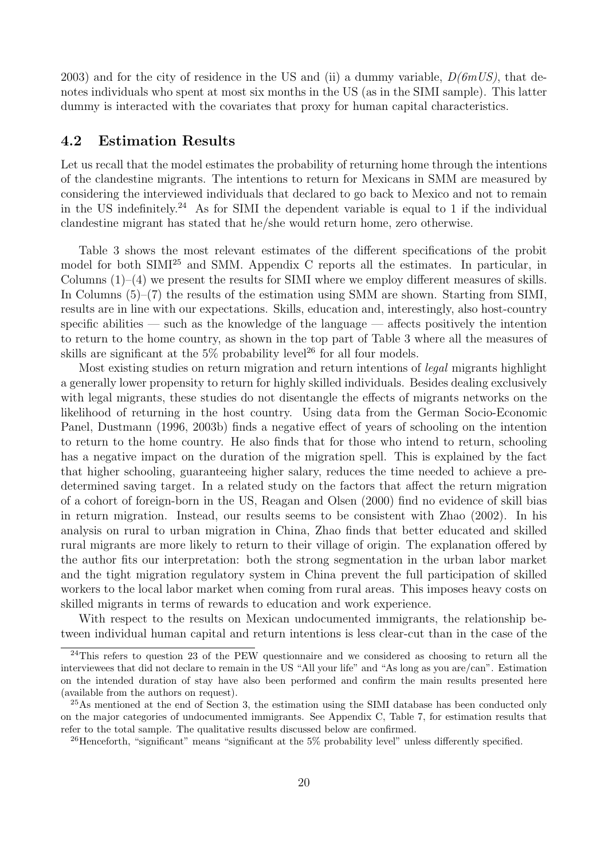2003) and for the city of residence in the US and (ii) a dummy variable,  $D(6mUS)$ , that denotes individuals who spent at most six months in the US (as in the SIMI sample). This latter dummy is interacted with the covariates that proxy for human capital characteristics.

#### 4.2 Estimation Results

Let us recall that the model estimates the probability of returning home through the intentions of the clandestine migrants. The intentions to return for Mexicans in SMM are measured by considering the interviewed individuals that declared to go back to Mexico and not to remain in the US indefinitely.<sup>24</sup> As for SIMI the dependent variable is equal to 1 if the individual clandestine migrant has stated that he/she would return home, zero otherwise.

Table 3 shows the most relevant estimates of the different specifications of the probit model for both SIMI<sup>25</sup> and SMM. Appendix C reports all the estimates. In particular, in Columns (1)–(4) we present the results for SIMI where we employ different measures of skills. In Columns (5)–(7) the results of the estimation using SMM are shown. Starting from SIMI, results are in line with our expectations. Skills, education and, interestingly, also host-country specific abilities — such as the knowledge of the language — affects positively the intention to return to the home country, as shown in the top part of Table 3 where all the measures of skills are significant at the  $5\%$  probability level<sup>26</sup> for all four models.

Most existing studies on return migration and return intentions of legal migrants highlight a generally lower propensity to return for highly skilled individuals. Besides dealing exclusively with legal migrants, these studies do not disentangle the effects of migrants networks on the likelihood of returning in the host country. Using data from the German Socio-Economic Panel, Dustmann (1996, 2003b) finds a negative effect of years of schooling on the intention to return to the home country. He also finds that for those who intend to return, schooling has a negative impact on the duration of the migration spell. This is explained by the fact that higher schooling, guaranteeing higher salary, reduces the time needed to achieve a predetermined saving target. In a related study on the factors that affect the return migration of a cohort of foreign-born in the US, Reagan and Olsen (2000) find no evidence of skill bias in return migration. Instead, our results seems to be consistent with Zhao (2002). In his analysis on rural to urban migration in China, Zhao finds that better educated and skilled rural migrants are more likely to return to their village of origin. The explanation offered by the author fits our interpretation: both the strong segmentation in the urban labor market and the tight migration regulatory system in China prevent the full participation of skilled workers to the local labor market when coming from rural areas. This imposes heavy costs on skilled migrants in terms of rewards to education and work experience.

With respect to the results on Mexican undocumented immigrants, the relationship between individual human capital and return intentions is less clear-cut than in the case of the

 $^{24}$ This refers to question 23 of the PEW questionnaire and we considered as choosing to return all the interviewees that did not declare to remain in the US "All your life" and "As long as you are/can". Estimation on the intended duration of stay have also been performed and confirm the main results presented here (available from the authors on request).

 $^{25}$ As mentioned at the end of Section 3, the estimation using the SIMI database has been conducted only on the major categories of undocumented immigrants. See Appendix C, Table 7, for estimation results that refer to the total sample. The qualitative results discussed below are confirmed.

<sup>&</sup>lt;sup>26</sup>Henceforth, "significant" means "significant at the 5% probability level" unless differently specified.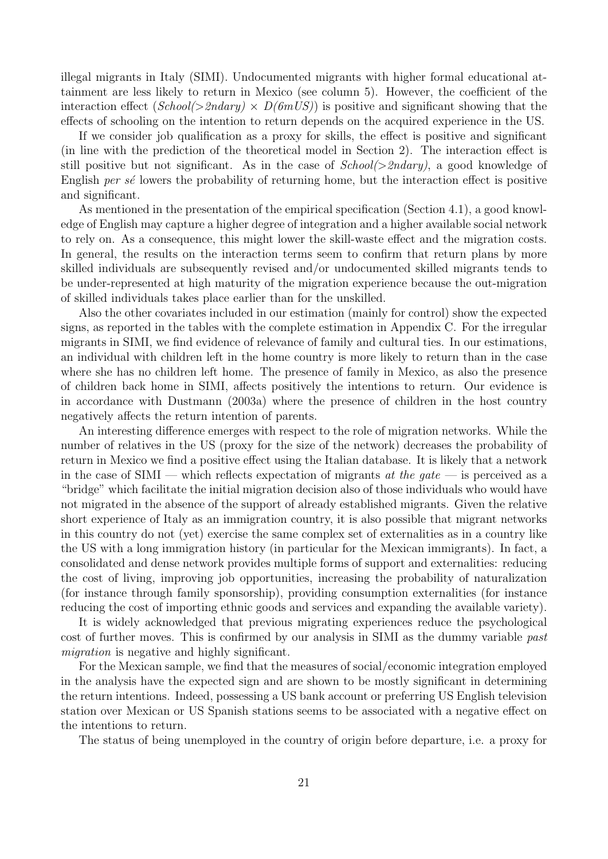illegal migrants in Italy (SIMI). Undocumented migrants with higher formal educational attainment are less likely to return in Mexico (see column 5). However, the coefficient of the interaction effect  $(School \geq 2ndary) \times D(bmUS)$  is positive and significant showing that the effects of schooling on the intention to return depends on the acquired experience in the US.

If we consider job qualification as a proxy for skills, the effect is positive and significant (in line with the prediction of the theoretical model in Section 2). The interaction effect is still positive but not significant. As in the case of  $School(>2ndary)$ , a good knowledge of English per  $s\acute{e}$  lowers the probability of returning home, but the interaction effect is positive and significant.

As mentioned in the presentation of the empirical specification (Section 4.1), a good knowledge of English may capture a higher degree of integration and a higher available social network to rely on. As a consequence, this might lower the skill-waste effect and the migration costs. In general, the results on the interaction terms seem to confirm that return plans by more skilled individuals are subsequently revised and/or undocumented skilled migrants tends to be under-represented at high maturity of the migration experience because the out-migration of skilled individuals takes place earlier than for the unskilled.

Also the other covariates included in our estimation (mainly for control) show the expected signs, as reported in the tables with the complete estimation in Appendix C. For the irregular migrants in SIMI, we find evidence of relevance of family and cultural ties. In our estimations, an individual with children left in the home country is more likely to return than in the case where she has no children left home. The presence of family in Mexico, as also the presence of children back home in SIMI, affects positively the intentions to return. Our evidence is in accordance with Dustmann (2003a) where the presence of children in the host country negatively affects the return intention of parents.

An interesting difference emerges with respect to the role of migration networks. While the number of relatives in the US (proxy for the size of the network) decreases the probability of return in Mexico we find a positive effect using the Italian database. It is likely that a network in the case of SIMI — which reflects expectation of migrants at the gate — is perceived as a "bridge" which facilitate the initial migration decision also of those individuals who would have not migrated in the absence of the support of already established migrants. Given the relative short experience of Italy as an immigration country, it is also possible that migrant networks in this country do not (yet) exercise the same complex set of externalities as in a country like the US with a long immigration history (in particular for the Mexican immigrants). In fact, a consolidated and dense network provides multiple forms of support and externalities: reducing the cost of living, improving job opportunities, increasing the probability of naturalization (for instance through family sponsorship), providing consumption externalities (for instance reducing the cost of importing ethnic goods and services and expanding the available variety).

It is widely acknowledged that previous migrating experiences reduce the psychological cost of further moves. This is confirmed by our analysis in SIMI as the dummy variable past migration is negative and highly significant.

For the Mexican sample, we find that the measures of social/economic integration employed in the analysis have the expected sign and are shown to be mostly significant in determining the return intentions. Indeed, possessing a US bank account or preferring US English television station over Mexican or US Spanish stations seems to be associated with a negative effect on the intentions to return.

The status of being unemployed in the country of origin before departure, i.e. a proxy for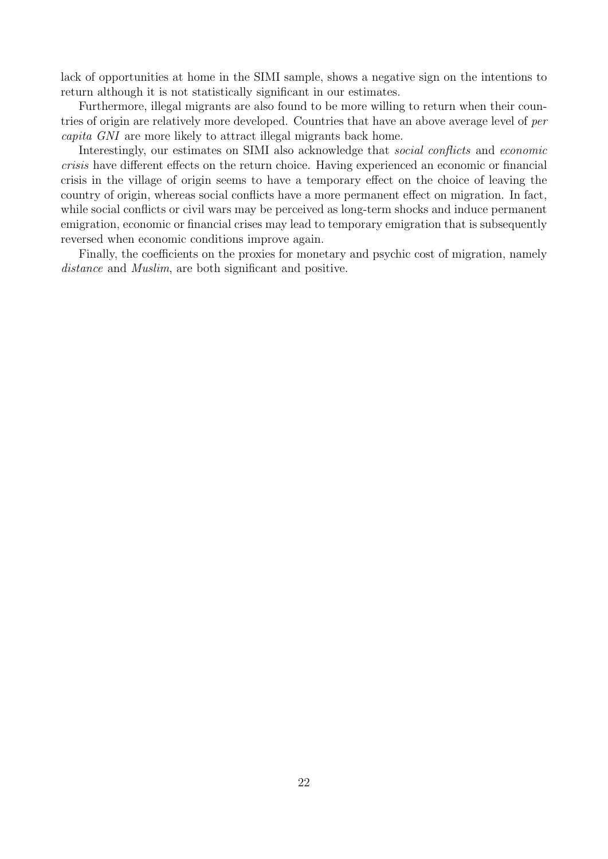lack of opportunities at home in the SIMI sample, shows a negative sign on the intentions to return although it is not statistically significant in our estimates.

Furthermore, illegal migrants are also found to be more willing to return when their countries of origin are relatively more developed. Countries that have an above average level of per capita GNI are more likely to attract illegal migrants back home.

Interestingly, our estimates on SIMI also acknowledge that *social conflicts* and *economic* crisis have different effects on the return choice. Having experienced an economic or financial crisis in the village of origin seems to have a temporary effect on the choice of leaving the country of origin, whereas social conflicts have a more permanent effect on migration. In fact, while social conflicts or civil wars may be perceived as long-term shocks and induce permanent emigration, economic or financial crises may lead to temporary emigration that is subsequently reversed when economic conditions improve again.

Finally, the coefficients on the proxies for monetary and psychic cost of migration, namely distance and *Muslim*, are both significant and positive.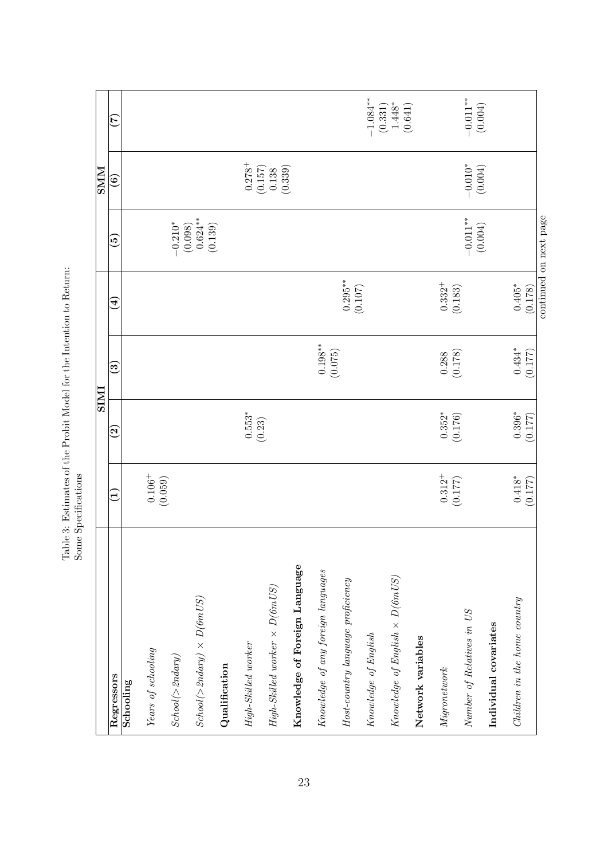|                                                                                 |                        |                           | <b>IMIS</b>             |                         |                                                                               | NNS                  |                                                                               |
|---------------------------------------------------------------------------------|------------------------|---------------------------|-------------------------|-------------------------|-------------------------------------------------------------------------------|----------------------|-------------------------------------------------------------------------------|
| Regressors                                                                      | $\blacksquare$         | $\widetilde{\bm{\omega}}$ | مَ                      | $\overline{\mathbf{A}}$ | ق                                                                             | ම                    | É                                                                             |
| Schooling                                                                       |                        |                           |                         |                         |                                                                               |                      |                                                                               |
| Years of schooling                                                              | $0.106^{+}$ $(0.059)$  |                           |                         |                         |                                                                               |                      |                                                                               |
| $\it School(>2ndary)$                                                           |                        |                           |                         |                         |                                                                               |                      |                                                                               |
| $\mathit{Stool}(\mathord{>} \mathord{\mathit{Sndary}}) \times D(\mathit{6mUS})$ |                        |                           |                         |                         | $\begin{array}{c} -0.210^{*} \\ (0.098) \\ 0.624^{**} \\ (0.139) \end{array}$ |                      |                                                                               |
| Qualification                                                                   |                        |                           |                         |                         |                                                                               |                      |                                                                               |
| High-Skilled worker                                                             |                        | $0.553*$<br>(0.23)        |                         |                         |                                                                               | $0.278 +$            |                                                                               |
| $High-Skilled\ worker \times D(6mUS)$                                           |                        |                           |                         |                         |                                                                               | (0.157)<br>0.138     |                                                                               |
| Knowledge of Foreign Language                                                   |                        |                           |                         |                         |                                                                               | (0.339)              |                                                                               |
| Knowledge of any foreign languages                                              |                        |                           | $0.198***$              |                         |                                                                               |                      |                                                                               |
| $Host\text{-}country\ language\ preference$                                     |                        |                           | (0.075)                 | $0.295***$              |                                                                               |                      |                                                                               |
| $\label{lem:conledege} Knowledge\ of\ English$                                  |                        |                           |                         | (0.107)                 |                                                                               |                      |                                                                               |
| $\label{eq:concl} Knowledge\ of\ English\ \times\ D(\mathcal{G}mUS)$            |                        |                           |                         |                         |                                                                               |                      | $\begin{array}{c} -1.084^{**} \\ (0.331) \\ 1.448^{*} \\ (0.641) \end{array}$ |
| Network variables                                                               |                        |                           |                         |                         |                                                                               |                      |                                                                               |
| Migronet work                                                                   | $0.312^{+}$<br>(0.177) | $0.352*$<br>(0.176)       | $\frac{0.288}{(0.178)}$ | $0.332^{+}$<br>(0.183)  |                                                                               |                      |                                                                               |
| Number of Relatives in US                                                       |                        |                           |                         |                         | $-0.011***$<br>(0.004)                                                        | $-0.010*$<br>(0.004) | $-0.011**$<br>(0.004)                                                         |
| Individual covariates                                                           |                        |                           |                         |                         |                                                                               |                      |                                                                               |
| Children in the home country                                                    | $0.418^*$              | $0.396*$                  | $0.434*$                | $0.405*$                |                                                                               |                      |                                                                               |
|                                                                                 | (0.177)                | (0.177)                   | (0.177)                 | (0.178)                 |                                                                               |                      |                                                                               |
|                                                                                 |                        |                           |                         |                         | continued on next page                                                        |                      |                                                                               |

Table 3: Estimates of the Probit Model for the Intention to Return: Some Specifications Table 3: Estimates of the Probit Model for the Intention to Return: Some Specifications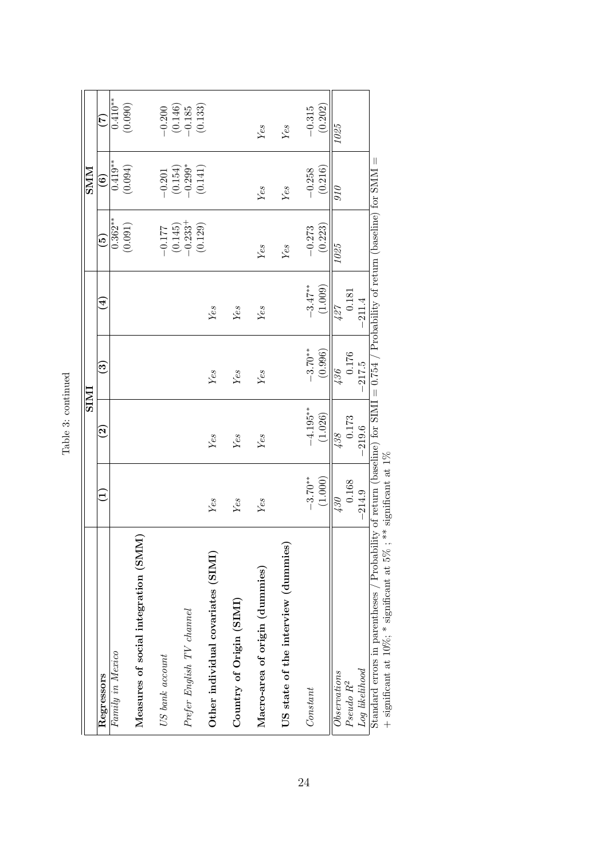|                                                                                                                                                       |              |                          | <b>IMIS</b> |                        |                                  | NINS                   |                                                            |
|-------------------------------------------------------------------------------------------------------------------------------------------------------|--------------|--------------------------|-------------|------------------------|----------------------------------|------------------------|------------------------------------------------------------|
| Regressors                                                                                                                                            | $\mathbf{r}$ | $\widetilde{\mathbf{S}}$ | ව           | $\widehat{\mathbf{f}}$ | $\widetilde{\mathbf{e}}$         | $\widehat{\mathbf{e}}$ | $ \widetilde{\mathcal{C}} $                                |
| Family in Mexico                                                                                                                                      |              |                          |             |                        | $0.362**$                        | $0.419**$              | $0.410**$                                                  |
|                                                                                                                                                       |              |                          |             |                        | (0.091)                          | (0.094)                | (0.090)                                                    |
| Measures of social integration (SMM)                                                                                                                  |              |                          |             |                        |                                  |                        |                                                            |
| US bank account                                                                                                                                       |              |                          |             |                        | $-0.177$                         | $-0.201$               |                                                            |
|                                                                                                                                                       |              |                          |             |                        |                                  |                        |                                                            |
| $Prefer$ English TV channel                                                                                                                           |              |                          |             |                        | $(0.145)$<br>-0.233 <sup>+</sup> | $(0.154)$<br>-0.299*   | $\begin{array}{c} -0.200 \\ (0.146) \\ -0.185 \end{array}$ |
|                                                                                                                                                       |              |                          |             |                        | (0.129)                          | (0.141)                | (0.133)                                                    |
| Other individual covariates (SIMI)                                                                                                                    | Yes          | Yes                      | Yes         | Yes                    |                                  |                        |                                                            |
| Country of Origin (SIMI)                                                                                                                              | Yes          | Yes                      | Yes         | Yes                    |                                  |                        |                                                            |
|                                                                                                                                                       |              |                          |             |                        |                                  |                        |                                                            |
| Macro-area of origin (dummies)                                                                                                                        | Yes          | Yes                      | Yes         | Yes                    | Yes                              | Yes                    | Yes                                                        |
| US state of the interview (dummies)                                                                                                                   |              |                          |             |                        | Yes                              | Yes                    | Yes                                                        |
| Constant                                                                                                                                              | $-3.70**$    | $-4.195**$               | $-3.70**$   | $-3.47**$              | $-0.273$                         | $-0.258$               | $-0.315$                                                   |
|                                                                                                                                                       | (1.000)      | (1.026)                  | (0.996)     | (1.009)                | (0.223)                          | (0.216)                | (0.202)                                                    |
| Observations                                                                                                                                          | $430 -$      | 438                      | 136         | 127                    | $1025$                           | 010                    | $1025$                                                     |
| Pseudo R <sup>2</sup>                                                                                                                                 | 0.168        | 0.173                    | 0.176       | 0.181                  |                                  |                        |                                                            |
| Loq likelihood                                                                                                                                        | $-214.9$     | $-219.6$                 | $-217.5$    | $-211.4$               |                                  |                        |                                                            |
| Standard errors in parentheses / Probability of return (baseline) for SIMI = $0.754$ / Probability of return (baseline) for SMM =<br>→<br>.<br>-<br>7 |              |                          |             |                        |                                  |                        |                                                            |

Table 3: continued Table 3: continued

 $+$  significant at 10%; \* significant at 5% ; \*\* significant at 1%  $+$  significant at 10%;  $*$  significant at 5% ;  $**$  significant at 1%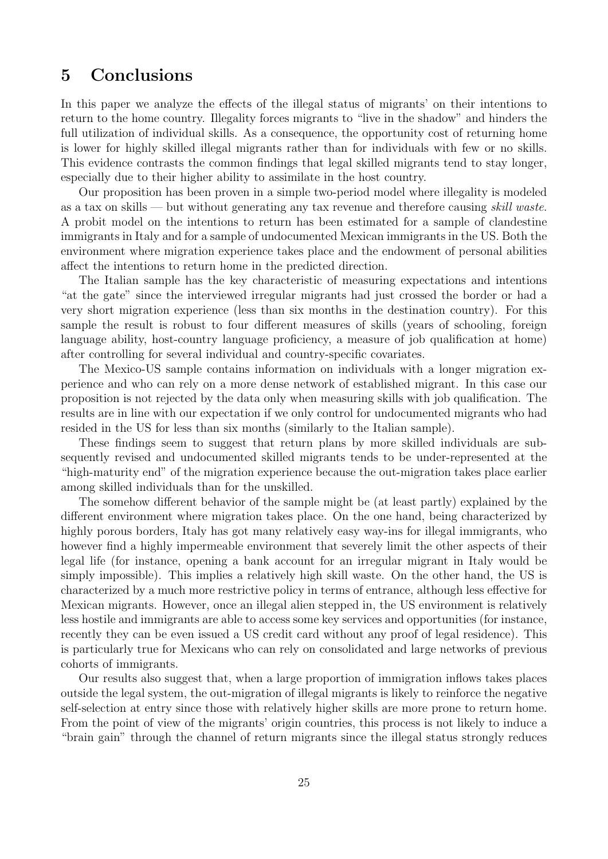## 5 Conclusions

In this paper we analyze the effects of the illegal status of migrants' on their intentions to return to the home country. Illegality forces migrants to "live in the shadow" and hinders the full utilization of individual skills. As a consequence, the opportunity cost of returning home is lower for highly skilled illegal migrants rather than for individuals with few or no skills. This evidence contrasts the common findings that legal skilled migrants tend to stay longer, especially due to their higher ability to assimilate in the host country.

Our proposition has been proven in a simple two-period model where illegality is modeled as a tax on skills — but without generating any tax revenue and therefore causing skill waste. A probit model on the intentions to return has been estimated for a sample of clandestine immigrants in Italy and for a sample of undocumented Mexican immigrants in the US. Both the environment where migration experience takes place and the endowment of personal abilities affect the intentions to return home in the predicted direction.

The Italian sample has the key characteristic of measuring expectations and intentions "at the gate" since the interviewed irregular migrants had just crossed the border or had a very short migration experience (less than six months in the destination country). For this sample the result is robust to four different measures of skills (years of schooling, foreign language ability, host-country language proficiency, a measure of job qualification at home) after controlling for several individual and country-specific covariates.

The Mexico-US sample contains information on individuals with a longer migration experience and who can rely on a more dense network of established migrant. In this case our proposition is not rejected by the data only when measuring skills with job qualification. The results are in line with our expectation if we only control for undocumented migrants who had resided in the US for less than six months (similarly to the Italian sample).

These findings seem to suggest that return plans by more skilled individuals are subsequently revised and undocumented skilled migrants tends to be under-represented at the "high-maturity end" of the migration experience because the out-migration takes place earlier among skilled individuals than for the unskilled.

The somehow different behavior of the sample might be (at least partly) explained by the different environment where migration takes place. On the one hand, being characterized by highly porous borders, Italy has got many relatively easy way-ins for illegal immigrants, who however find a highly impermeable environment that severely limit the other aspects of their legal life (for instance, opening a bank account for an irregular migrant in Italy would be simply impossible). This implies a relatively high skill waste. On the other hand, the US is characterized by a much more restrictive policy in terms of entrance, although less effective for Mexican migrants. However, once an illegal alien stepped in, the US environment is relatively less hostile and immigrants are able to access some key services and opportunities (for instance, recently they can be even issued a US credit card without any proof of legal residence). This is particularly true for Mexicans who can rely on consolidated and large networks of previous cohorts of immigrants.

Our results also suggest that, when a large proportion of immigration inflows takes places outside the legal system, the out-migration of illegal migrants is likely to reinforce the negative self-selection at entry since those with relatively higher skills are more prone to return home. From the point of view of the migrants' origin countries, this process is not likely to induce a "brain gain" through the channel of return migrants since the illegal status strongly reduces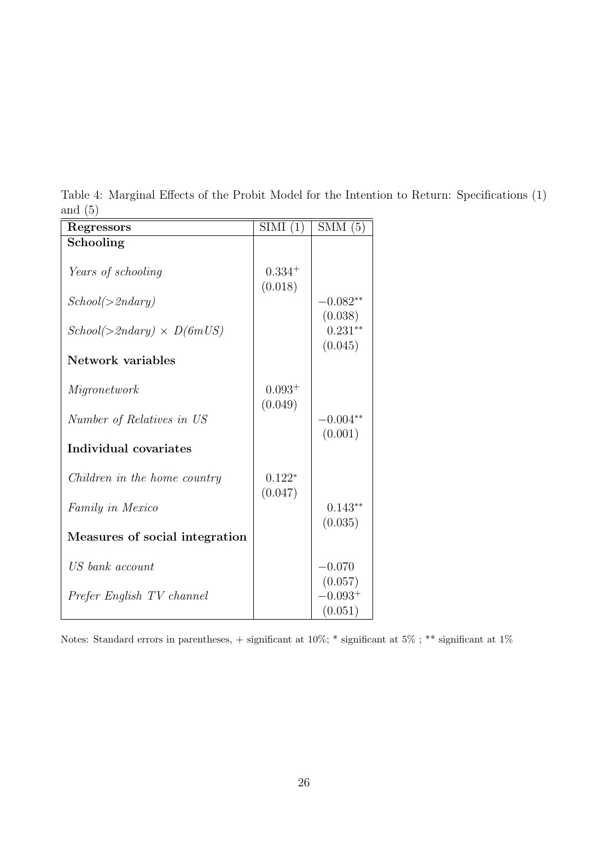| Regressors                       | SIMI(1)                | SMM(5)                          |
|----------------------------------|------------------------|---------------------------------|
| Schooling                        |                        |                                 |
| Years of schooling               | $0.334^{+}$<br>(0.018) |                                 |
| School(>2ndary)                  |                        | $-0.082**$                      |
| $School(>2ndary) \times D(6mUS)$ |                        | (0.038)<br>$0.231**$<br>(0.045) |
| <b>Network</b> variables         |                        |                                 |
| Migronetwork                     | $0.093+$<br>(0.049)    |                                 |
| Number of Relatives in US        |                        | $-0.004^{**}$                   |
| Individual covariates            |                        | (0.001)                         |
| Children in the home country     | $0.122*$               |                                 |
| Family in Mexico                 | (0.047)                | $0.143**$<br>(0.035)            |
| Measures of social integration   |                        |                                 |
| US bank account                  |                        | $-0.070$<br>(0.057)             |
| Prefer English TV channel        |                        | $-0.093^{+}$<br>(0.051)         |

Table 4: Marginal Effects of the Probit Model for the Intention to Return: Specifications (1) and (5)

Notes: Standard errors in parentheses,  $+$  significant at 10%;  $^*$  significant at  $1\%$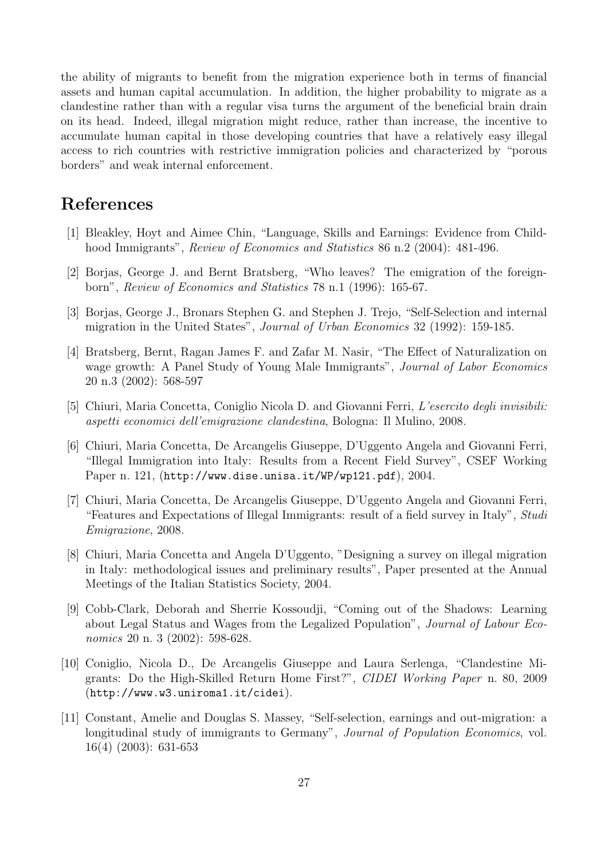the ability of migrants to benefit from the migration experience both in terms of financial assets and human capital accumulation. In addition, the higher probability to migrate as a clandestine rather than with a regular visa turns the argument of the beneficial brain drain on its head. Indeed, illegal migration might reduce, rather than increase, the incentive to accumulate human capital in those developing countries that have a relatively easy illegal access to rich countries with restrictive immigration policies and characterized by "porous borders" and weak internal enforcement.

### References

- [1] Bleakley, Hoyt and Aimee Chin, "Language, Skills and Earnings: Evidence from Childhood Immigrants", *Review of Economics and Statistics* 86 n.2 (2004): 481-496.
- [2] Borjas, George J. and Bernt Bratsberg, "Who leaves? The emigration of the foreignborn", Review of Economics and Statistics 78 n.1 (1996): 165-67.
- [3] Borjas, George J., Bronars Stephen G. and Stephen J. Trejo, "Self-Selection and internal migration in the United States", Journal of Urban Economics 32 (1992): 159-185.
- [4] Bratsberg, Bernt, Ragan James F. and Zafar M. Nasir, "The Effect of Naturalization on wage growth: A Panel Study of Young Male Immigrants", *Journal of Labor Economics* 20 n.3 (2002): 568-597
- [5] Chiuri, Maria Concetta, Coniglio Nicola D. and Giovanni Ferri, L'esercito degli invisibili: aspetti economici dell'emigrazione clandestina, Bologna: Il Mulino, 2008.
- [6] Chiuri, Maria Concetta, De Arcangelis Giuseppe, D'Uggento Angela and Giovanni Ferri, "Illegal Immigration into Italy: Results from a Recent Field Survey", CSEF Working Paper n. 121, (http://www.dise.unisa.it/WP/wp121.pdf), 2004.
- [7] Chiuri, Maria Concetta, De Arcangelis Giuseppe, D'Uggento Angela and Giovanni Ferri, "Features and Expectations of Illegal Immigrants: result of a field survey in Italy", Studi Emigrazione, 2008.
- [8] Chiuri, Maria Concetta and Angela D'Uggento, "Designing a survey on illegal migration in Italy: methodological issues and preliminary results", Paper presented at the Annual Meetings of the Italian Statistics Society, 2004.
- [9] Cobb-Clark, Deborah and Sherrie Kossoudji, "Coming out of the Shadows: Learning about Legal Status and Wages from the Legalized Population", Journal of Labour Economics 20 n. 3 (2002): 598-628.
- [10] Coniglio, Nicola D., De Arcangelis Giuseppe and Laura Serlenga, "Clandestine Migrants: Do the High-Skilled Return Home First?", CIDEI Working Paper n. 80, 2009 (http://www.w3.uniroma1.it/cidei).
- [11] Constant, Amelie and Douglas S. Massey, "Self-selection, earnings and out-migration: a longitudinal study of immigrants to Germany", Journal of Population Economics, vol. 16(4) (2003): 631-653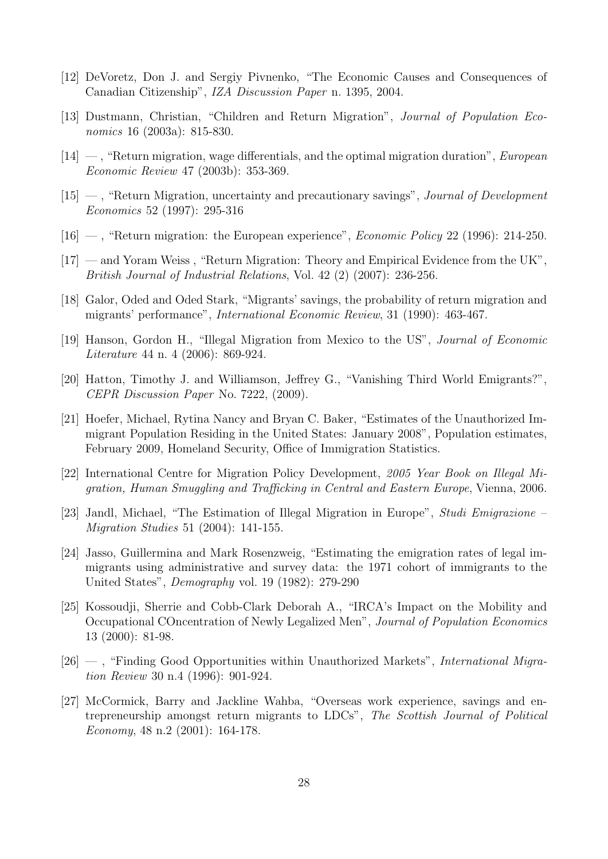- [12] DeVoretz, Don J. and Sergiy Pivnenko, "The Economic Causes and Consequences of Canadian Citizenship", IZA Discussion Paper n. 1395, 2004.
- [13] Dustmann, Christian, "Children and Return Migration", Journal of Population Economics 16 (2003a): 815-830.
- $[14]$  —, "Return migration, wage differentials, and the optimal migration duration", *European* Economic Review 47 (2003b): 353-369.
- $[15]$  , "Return Migration, uncertainty and precautionary savings", *Journal of Development* Economics 52 (1997): 295-316
- $[16]$  , "Return migration: the European experience", *Economic Policy* 22 (1996): 214-250.
- [17] and Yoram Weiss , "Return Migration: Theory and Empirical Evidence from the UK", British Journal of Industrial Relations, Vol. 42 (2) (2007): 236-256.
- [18] Galor, Oded and Oded Stark, "Migrants' savings, the probability of return migration and migrants' performance", International Economic Review, 31 (1990): 463-467.
- [19] Hanson, Gordon H., "Illegal Migration from Mexico to the US", Journal of Economic Literature 44 n. 4 (2006): 869-924.
- [20] Hatton, Timothy J. and Williamson, Jeffrey G., "Vanishing Third World Emigrants?", CEPR Discussion Paper No. 7222, (2009).
- [21] Hoefer, Michael, Rytina Nancy and Bryan C. Baker, "Estimates of the Unauthorized Immigrant Population Residing in the United States: January 2008", Population estimates, February 2009, Homeland Security, Office of Immigration Statistics.
- [22] International Centre for Migration Policy Development, 2005 Year Book on Illegal Migration, Human Smuggling and Trafficking in Central and Eastern Europe, Vienna, 2006.
- [23] Jandl, Michael, "The Estimation of Illegal Migration in Europe", Studi Emigrazione Migration Studies 51 (2004): 141-155.
- [24] Jasso, Guillermina and Mark Rosenzweig, "Estimating the emigration rates of legal immigrants using administrative and survey data: the 1971 cohort of immigrants to the United States", Demography vol. 19 (1982): 279-290
- [25] Kossoudji, Sherrie and Cobb-Clark Deborah A., "IRCA's Impact on the Mobility and Occupational COncentration of Newly Legalized Men", Journal of Population Economics 13 (2000): 81-98.
- $[26]$  —, "Finding Good Opportunities within Unauthorized Markets", International Migration Review 30 n.4 (1996): 901-924.
- [27] McCormick, Barry and Jackline Wahba, "Overseas work experience, savings and entrepreneurship amongst return migrants to LDCs", The Scottish Journal of Political Economy, 48 n.2 (2001): 164-178.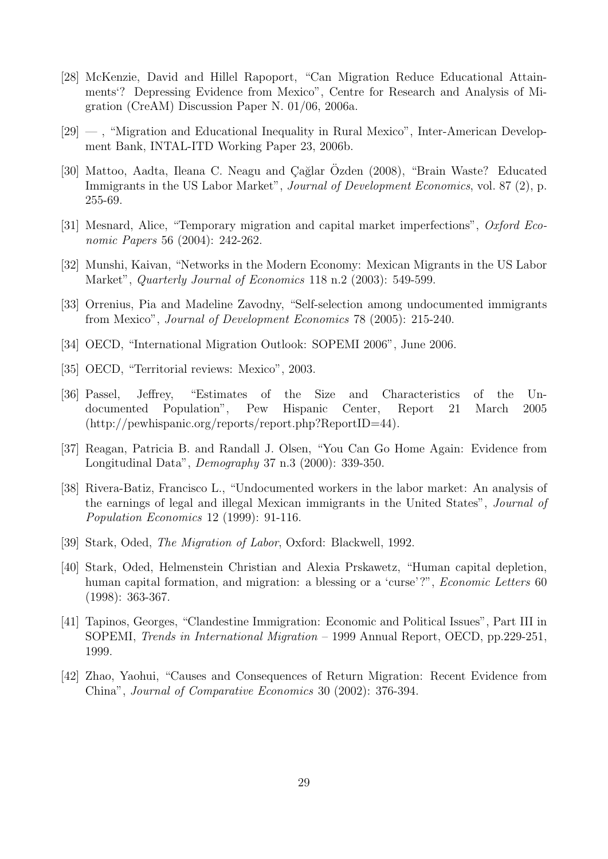- [28] McKenzie, David and Hillel Rapoport, "Can Migration Reduce Educational Attainments'? Depressing Evidence from Mexico", Centre for Research and Analysis of Migration (CreAM) Discussion Paper N. 01/06, 2006a.
- [29] , "Migration and Educational Inequality in Rural Mexico", Inter-American Development Bank, INTAL-ITD Working Paper 23, 2006b.
- [30] Mattoo, Aadta, Ileana C. Neagu and Çağlar Ozden (2008), "Brain Waste? Educated Immigrants in the US Labor Market", *Journal of Development Economics*, vol. 87 (2), p. 255-69.
- [31] Mesnard, Alice, "Temporary migration and capital market imperfections", Oxford Economic Papers 56 (2004): 242-262.
- [32] Munshi, Kaivan, "Networks in the Modern Economy: Mexican Migrants in the US Labor Market", *Quarterly Journal of Economics* 118 n.2 (2003): 549-599.
- [33] Orrenius, Pia and Madeline Zavodny, "Self-selection among undocumented immigrants from Mexico", Journal of Development Economics 78 (2005): 215-240.
- [34] OECD, "International Migration Outlook: SOPEMI 2006", June 2006.
- [35] OECD, "Territorial reviews: Mexico", 2003.
- [36] Passel, Jeffrey, "Estimates of the Size and Characteristics of the Undocumented Population", Pew Hispanic Center, Report 21 March 2005 (http://pewhispanic.org/reports/report.php?ReportID=44).
- [37] Reagan, Patricia B. and Randall J. Olsen, "You Can Go Home Again: Evidence from Longitudinal Data", Demography 37 n.3 (2000): 339-350.
- [38] Rivera-Batiz, Francisco L., "Undocumented workers in the labor market: An analysis of the earnings of legal and illegal Mexican immigrants in the United States", Journal of Population Economics 12 (1999): 91-116.
- [39] Stark, Oded, *The Migration of Labor*, Oxford: Blackwell, 1992.
- [40] Stark, Oded, Helmenstein Christian and Alexia Prskawetz, "Human capital depletion, human capital formation, and migration: a blessing or a 'curse'?", *Economic Letters* 60 (1998): 363-367.
- [41] Tapinos, Georges, "Clandestine Immigration: Economic and Political Issues", Part III in SOPEMI, Trends in International Migration – 1999 Annual Report, OECD, pp.229-251, 1999.
- [42] Zhao, Yaohui, "Causes and Consequences of Return Migration: Recent Evidence from China", Journal of Comparative Economics 30 (2002): 376-394.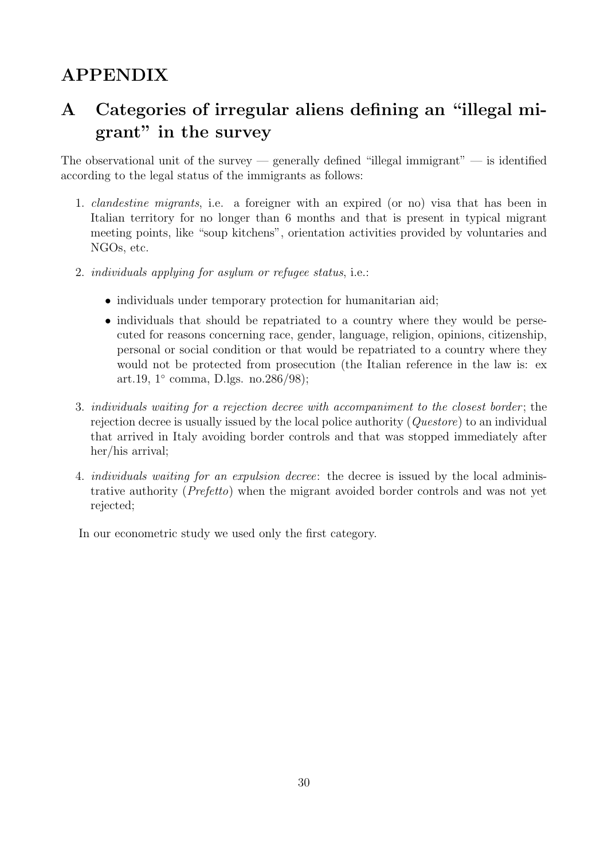# APPENDIX

# A Categories of irregular aliens defining an "illegal migrant" in the survey

The observational unit of the survey — generally defined "illegal immigrant" — is identified according to the legal status of the immigrants as follows:

- 1. clandestine migrants, i.e. a foreigner with an expired (or no) visa that has been in Italian territory for no longer than 6 months and that is present in typical migrant meeting points, like "soup kitchens", orientation activities provided by voluntaries and NGOs, etc.
- 2. individuals applying for asylum or refugee status, i.e.:
	- individuals under temporary protection for humanitarian aid;
	- individuals that should be repatriated to a country where they would be persecuted for reasons concerning race, gender, language, religion, opinions, citizenship, personal or social condition or that would be repatriated to a country where they would not be protected from prosecution (the Italian reference in the law is: ex art.19, 1◦ comma, D.lgs. no.286/98);
- 3. individuals waiting for a rejection decree with accompaniment to the closest border; the rejection decree is usually issued by the local police authority (Questore) to an individual that arrived in Italy avoiding border controls and that was stopped immediately after her/his arrival;
- 4. individuals waiting for an expulsion decree: the decree is issued by the local administrative authority (Prefetto) when the migrant avoided border controls and was not yet rejected;

In our econometric study we used only the first category.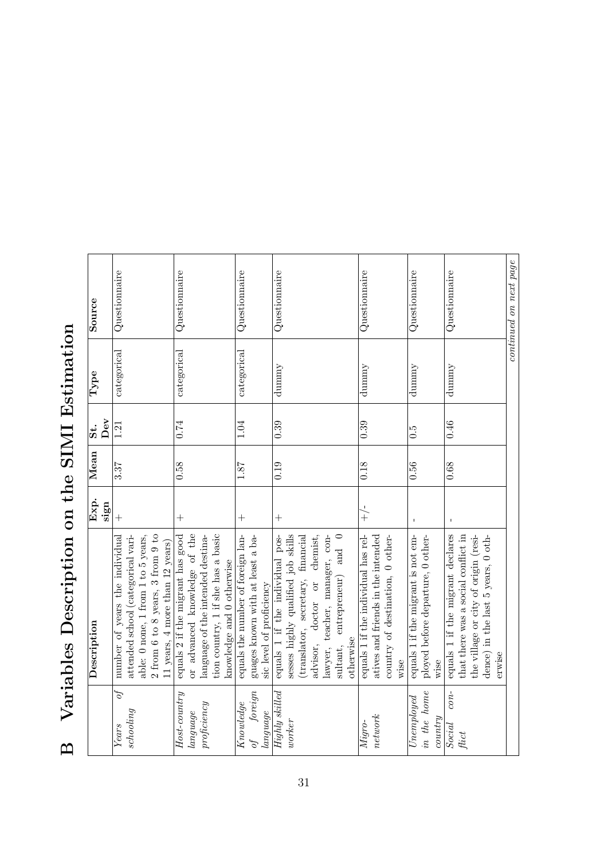# B Variables Description on the SIMI Estimation B Variables Description on the SIMI Estimation

|                      | Description                                | Exp.           | Mean | $\ddot{\mathbf{s}}$ | Type             | Source                 |
|----------------------|--------------------------------------------|----------------|------|---------------------|------------------|------------------------|
|                      |                                            | sign           |      | Dev                 |                  |                        |
| of<br>Years          | number of years the individual             | $+$            | 3.37 | 1.21                | categorical      | Questionnaire          |
| $\it seholing$       | attended school (categorical vari-         |                |      |                     |                  |                        |
|                      | able: 0 none, 1 from 1 to 5 years,         |                |      |                     |                  |                        |
|                      | $2$ from $6$ to $8$ years, $3$ from $9$ to |                |      |                     |                  |                        |
|                      | 11 years, $4$ more than 12 years)          |                |      |                     |                  |                        |
| $Host-country$       | equals 2 if the migrant has good           | $^{+}$         | 0.58 | 0.74                | categorical      | Questionnaire          |
| language             | or advanced knowledge of the               |                |      |                     |                  |                        |
| $\emph{projectency}$ | language of the intended destina-          |                |      |                     |                  |                        |
|                      | tion country, 1 if she has a basic         |                |      |                     |                  |                        |
|                      | knowledge and 0 otherwise                  |                |      |                     |                  |                        |
| Knowledge            | equals the number of foreign lan-          | $^{+}$         | 1.87 | 1.04                | ${\rm category}$ | Questionnaire          |
| foreign<br>of        | guages known with at least a ba-           |                |      |                     |                  |                        |
| language             | sic level of proficiency                   |                |      |                     |                  |                        |
| Highly skilled       | equals 1 if the individual pos-            | $+$            | 0.19 | 0.39                | dumny            | Questionnaire          |
| worker               | sesses highly qualified job skills         |                |      |                     |                  |                        |
|                      | (translator, secretary, financial          |                |      |                     |                  |                        |
|                      | chemist,<br>doctor or<br>advisor,          |                |      |                     |                  |                        |
|                      | teacher, manager, con-<br>lawyer,          |                |      |                     |                  |                        |
|                      | entrepreneur) and $0$<br>sultant,          |                |      |                     |                  |                        |
|                      | otherwise                                  |                |      |                     |                  |                        |
| Migro-               | equals 1 if the individual has rel-        | $+\frac{1}{x}$ | 0.18 | 0.39                | dunnny           | Questionnaire          |
| network              | atives and friends in the intended         |                |      |                     |                  |                        |
|                      | country of destination, 0 other-           |                |      |                     |                  |                        |
|                      | wise                                       |                |      |                     |                  |                        |
| Unemplosed           | equals 1 if the migrant is not em-         |                | 0.56 | $\ddot{0}$ .        | dumny            | Questionnaire          |
| in the home          | ployed before departure, 0 other-          |                |      |                     |                  |                        |
| country              | wise                                       |                |      |                     |                  |                        |
| $con-$<br>Social     | equals 1 if the migrant declares           | $\mathbf{I}$   | 0.68 | 0.46                | dummy            | Questionnaire          |
| fict                 | that there was a social conflict in        |                |      |                     |                  |                        |
|                      | the village or city of origin (resi-       |                |      |                     |                  |                        |
|                      | dence) in the last 5 years, $0$ oth-       |                |      |                     |                  |                        |
|                      | erwise                                     |                |      |                     |                  |                        |
|                      |                                            |                |      |                     |                  | continued on next page |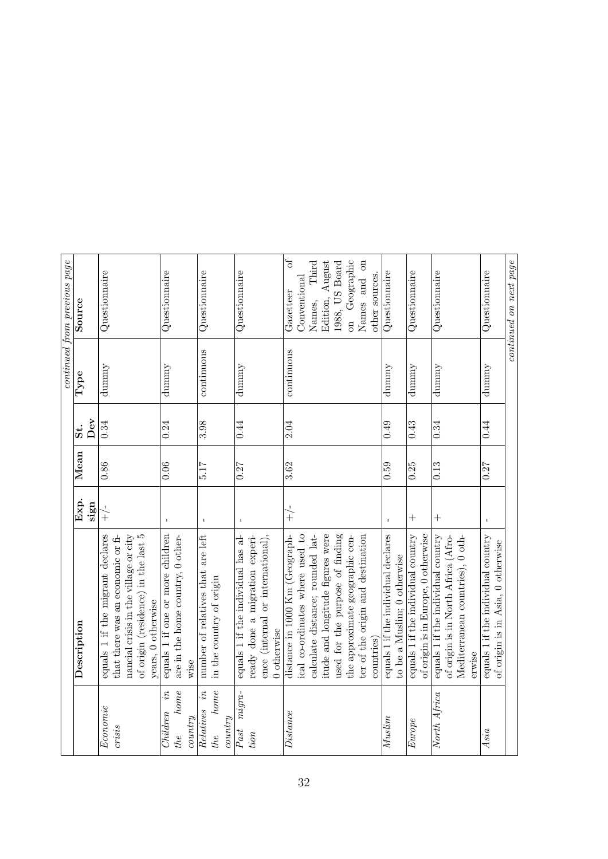| Description                                                                                                                                                                                                                                                        | continued from previous page<br>Source<br>Type<br>Dev<br>$\ddot{s}$ :<br>Mean                                                                     |
|--------------------------------------------------------------------------------------------------------------------------------------------------------------------------------------------------------------------------------------------------------------------|---------------------------------------------------------------------------------------------------------------------------------------------------|
| of origin (residence) in the last 5<br>equals 1 if the migrant declares<br>nancial crisis in the village or city<br>that there was an economic or fi-<br>years, 0 otherwise                                                                                        | Questionnaire<br>dummy<br>0.34                                                                                                                    |
| equals 1 if one or more children<br>are in the home country, 0 other-<br>wise                                                                                                                                                                                      | Questionnaire<br>dummy<br>0.24                                                                                                                    |
| number of relatives that are left<br>in the country of origin                                                                                                                                                                                                      | Questionnaire<br>continuous<br>3.98                                                                                                               |
| ence (internal or international),<br>equals 1 if the individual has al-<br>ready done a migration experi-<br>0 otherwise                                                                                                                                           | Questionnaire<br>dummy<br>0.44                                                                                                                    |
| itude and longitude figures were<br>used for the purpose of finding<br>ical co-ordinates where used to<br>calculate distance; rounded lat-<br>the approximate geographic cen-<br>distance in 1000 Km (Geograph-<br>ter of the origin and destination<br>countries) | on Geographic<br>Edition, August<br>Names and on<br>1988, US Board<br>other sources.<br>Conventional<br>Gazetteer<br>Names,<br>continuous<br>2.04 |
| equals 1 if the individual declares<br>to be a Muslim; 0 otherwise                                                                                                                                                                                                 | Questionnaire<br>dummy<br>0.49                                                                                                                    |
| equals 1 if the individual country<br>of origin is in Europe, 0 otherwise                                                                                                                                                                                          | Questionnaire<br>dummy<br>0.43                                                                                                                    |
| equals 1 if the individual country<br>of origin is in North Africa (Afro-<br>Mediterranean countries), 0 oth-<br>erwise                                                                                                                                            | Questionnaire<br>dummy<br>0.34                                                                                                                    |
| equals 1 if the individual country<br>of origin is in Asia, 0 otherwise                                                                                                                                                                                            | Questionnaire<br>dummy<br>0.44                                                                                                                    |
|                                                                                                                                                                                                                                                                    | continued on next page                                                                                                                            |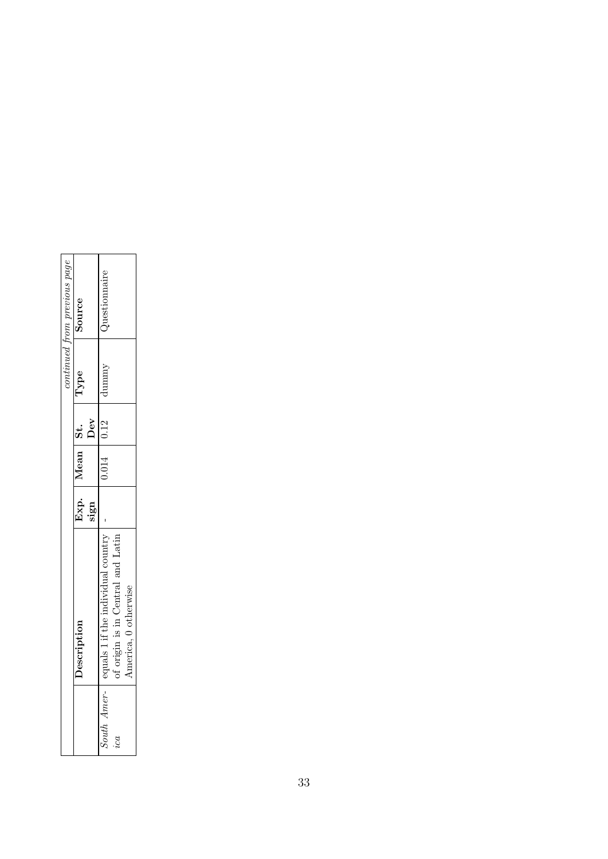| continued from previous page | Source     | uestionnaire                                                                                    |
|------------------------------|------------|-------------------------------------------------------------------------------------------------|
|                              | lype       | dummy                                                                                           |
|                              | Dev        |                                                                                                 |
|                              | Mean St.   | $0.014$ 0.12                                                                                    |
|                              |            |                                                                                                 |
|                              | escription | of origin is in Central and Latin<br>equals 1 if the individual country<br>America, 0 otherwise |
|                              |            | 'outh Amer-<br>ica                                                                              |

 $\overline{\phantom{a}}$ 

ä

 $\overline{a}$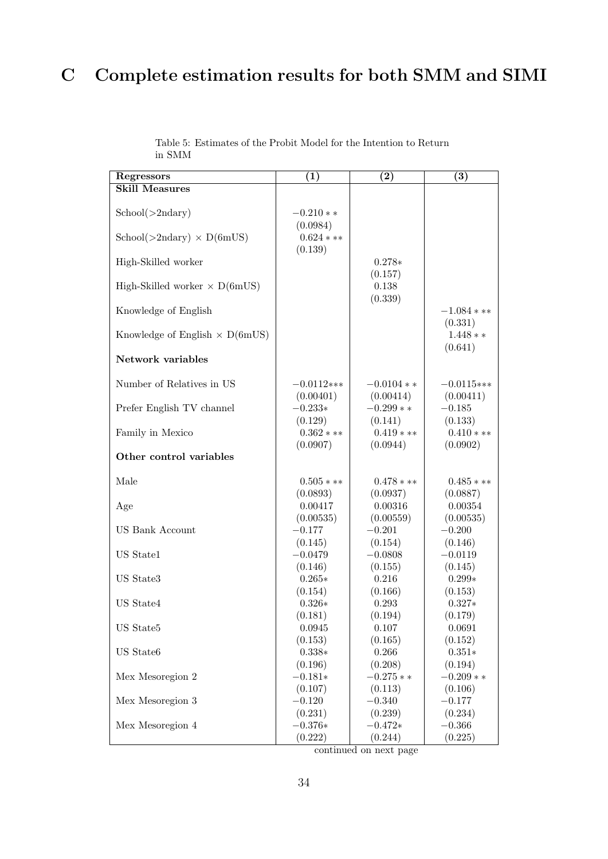# C Complete estimation results for both SMM and SIMI

| Regressors                                                   | $\left( 1\right)$                   | $\left( 2\right)$   | $\left( 3\right)$        |
|--------------------------------------------------------------|-------------------------------------|---------------------|--------------------------|
| <b>Skill Measures</b>                                        |                                     |                     |                          |
| School(>2ndary)                                              | $-0.210**$                          |                     |                          |
| $\text{School}(>2\text{ndary}) \times \text{D}(6\text{mUS})$ | (0.0984)<br>$0.624$ * **<br>(0.139) |                     |                          |
| High-Skilled worker                                          |                                     | $0.278*$<br>(0.157) |                          |
| High-Skilled worker $\times$ D(6mUS)                         |                                     | 0.138<br>(0.339)    |                          |
| Knowledge of English                                         |                                     |                     | $-1.084$ * **<br>(0.331) |
| Knowledge of English $\times$ D(6mUS)                        |                                     |                     | $1.448**$<br>(0.641)     |
| Network variables                                            |                                     |                     |                          |
| Number of Relatives in US                                    | $-0.0112**$                         | $-0.0104**$         | $-0.0115***$             |
|                                                              | (0.00401)                           | (0.00414)           | (0.00411)                |
| Prefer English TV channel                                    | $-0.233*$                           | $-0.299**$          | $-0.185$                 |
|                                                              | (0.129)                             | (0.141)             | (0.133)                  |
| Family in Mexico                                             | $0.362$ ***                         | $0.419$ ***         | $0.410$ * **             |
|                                                              | (0.0907)                            | (0.0944)            | (0.0902)                 |
| Other control variables                                      |                                     |                     |                          |
| Male                                                         | $0.505$ * **                        | $0.478$ ***         | $0.485$ ***              |
| Age                                                          | (0.0893)                            | (0.0937)            | (0.0887)                 |
|                                                              | 0.00417                             | 0.00316             | 0.00354                  |
| <b>US Bank Account</b>                                       | (0.00535)                           | (0.00559)           | (0.00535)                |
|                                                              | $-0.177$                            | $-0.201$            | $-0.200$                 |
| US State1                                                    | (0.145)                             | (0.154)             | (0.146)                  |
|                                                              | $-0.0479$                           | $-0.0808$           | $-0.0119$                |
| US State3                                                    | (0.146)                             | (0.155)             | (0.145)                  |
|                                                              | $0.265*$                            | 0.216               | $0.299*$                 |
| US State4                                                    | (0.154)                             | (0.166)             | (0.153)                  |
|                                                              | $0.326*$                            | 0.293               | $0.327*$                 |
| $\rm US$ State<br>5 $\,$                                     | (0.181)                             | (0.194)             | (0.179)                  |
|                                                              | 0.0945                              | 0.107               | 0.0691                   |
| US State6                                                    | (0.153)                             | (0.165)             | (0.152)                  |
|                                                              | $0.338*$                            | 0.266               | $0.351*$                 |
| Mex Mesoregion 2                                             | (0.196)                             | (0.208)             | (0.194)                  |
|                                                              | $-0.181*$                           | $-0.275**$          | $-0.209**$               |
| Mex Mesoregion 3                                             | (0.107)                             | (0.113)             | (0.106)                  |
|                                                              | $-0.120$                            | $-0.340$            | $-0.177$                 |
| Mex Mesoregion 4                                             | (0.231)                             | (0.239)             | (0.234)                  |
|                                                              | $-0.376*$                           | $-0.472*$           | $-0.366$                 |
|                                                              | (0.222)                             | (0.244)             | (0.225)                  |

Table 5: Estimates of the Probit Model for the Intention to Return in SMM

continued on next page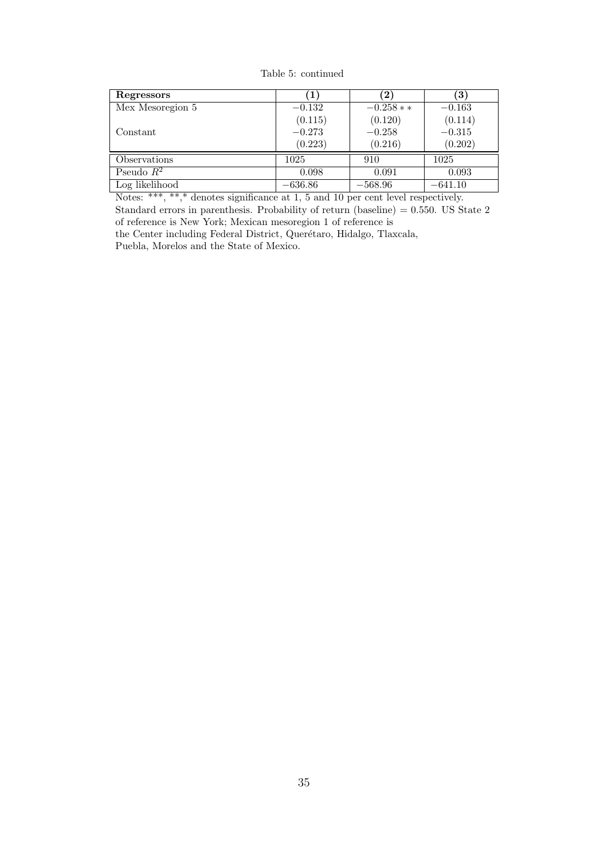Table 5: continued

| Regressors       | - 1       | $\bf{2}$   | $\left 3\right\rangle$ |
|------------------|-----------|------------|------------------------|
| Mex Mesoregion 5 | $-0.132$  | $-0.258**$ | $-0.163$               |
|                  | (0.115)   | (0.120)    | (0.114)                |
| Constant         | $-0.273$  | $-0.258$   | $-0.315$               |
|                  | (0.223)   | (0.216)    | (0.202)                |
| Observations     | 1025      | 910        | 1025                   |
| Pseudo $R^2$     | 0.098     | 0.091      | 0.093                  |
| Log likelihood   | $-636.86$ | $-568.96$  | $-641.10$              |

Notes: \*\*\*, \*\*,\* denotes significance at 1, 5 and 10 per cent level respectively. Standard errors in parenthesis. Probability of return (baseline) = 0.550. US State 2 of reference is New York; Mexican mesoregion 1 of reference is

the Center including Federal District, Querétaro, Hidalgo, Tlaxcala, Puebla, Morelos and the State of Mexico.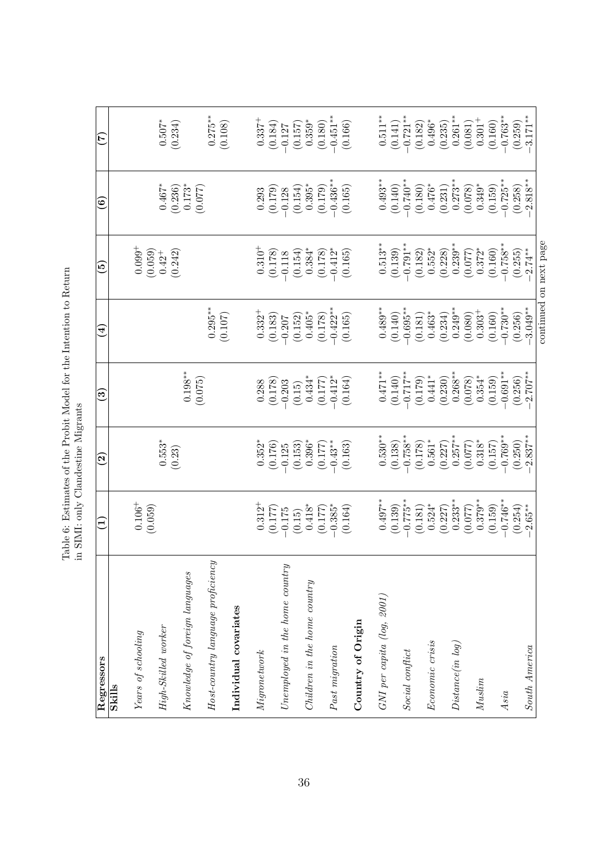| $n$ tontion to $B_0$<br>י<br>ב                           |                                                                                                                                                                            |
|----------------------------------------------------------|----------------------------------------------------------------------------------------------------------------------------------------------------------------------------|
| Table 6: Estimates of the Probit Model for the Intention | .<br>יונדני                                                                                                                                                                |
|                                                          | -<br>-<br>-<br>-<br>-<br>-<br>: בשני<br>ג<br>$\frac{1}{2}$ $\frac{1}{2}$ $\frac{1}{2}$ $\frac{1}{2}$ $\frac{1}{2}$ $\frac{1}{2}$ $\frac{1}{2}$ $\frac{1}{2}$ $\frac{1}{2}$ |
|                                                          | ни ртити ошу<br>CHA ET<br>.<br>ع                                                                                                                                           |

| Regressors                        | $\Xi$                 | $\rm \tilde{\Xi}$     | <u>ဇ</u>              | $\widehat{4}$         | قع                                                            | ම                                               | É                               |
|-----------------------------------|-----------------------|-----------------------|-----------------------|-----------------------|---------------------------------------------------------------|-------------------------------------------------|---------------------------------|
| <b>Skills</b>                     |                       |                       |                       |                       |                                                               |                                                 |                                 |
| Years of schooling                | $0.106^+$<br>(0.059)  |                       |                       |                       | $0.099^{+}$                                                   |                                                 |                                 |
| High-Skilled worker               |                       | $0.553*$<br>(0.23)    |                       |                       | (0.059)<br>(0.242)<br>$0.42^{+}$                              | $0.467$<br>$(0.236)$                            | $0.507$ <sup>*</sup><br>(0.234) |
| Knowledge of foreign languages    |                       |                       | $(0.198^{**}$         |                       |                                                               | $0.173*$<br>(0.077)                             |                                 |
| Host-country language proficiency |                       |                       |                       | $0.295***$<br>(0.107) |                                                               |                                                 | $0.275***$<br>(0.108)           |
| Individual covariates             |                       |                       |                       |                       |                                                               |                                                 |                                 |
| Migronetwork                      | $0.312^{+}$           | $0.352*$              | 0.288                 | $0.332+$              |                                                               | $\begin{array}{c} 0.293 \\ (0.179) \end{array}$ | $0.337 +$                       |
| $Unemployed$ in the home country  | (0.177)<br>$-0.175$   | (0.176)<br>$-0.125$   | (0.178)<br>$-0.203$   | (0.183)<br>$-0.207$   | $\begin{array}{c} 0.310^{+} \\ (0.178) \\ -0.118 \end{array}$ | $-0.128$                                        | (0.184)<br>$-0.127$             |
|                                   | (0.15)                | (0.153)               | $\left(0.15\right)$   | $\left(0.152\right)$  |                                                               |                                                 | (0.157)                         |
| Children in the home country      | $0.418*$              | $0.396*$              | $0.434*$              | $0.405*$              | $(0.154)$<br>0.384*                                           | $(0.154)$<br>0.395*                             | $0.359^{\ast}$                  |
|                                   | (0.177)               | $-0.43**$<br>(0.177)  | $-0.412*$<br>(0.177)  | $-0.422**$<br>(0.178) | (0.178)                                                       | $-0.436***$<br>(0.179)                          | $-0.451***$<br>(0.180)          |
| Past migration                    | $-0.385*$<br>(0.164)  | (0.163)               | (0.164)               | (0.165)               | $-0.412*$<br>(0.165)                                          | (0.165)                                         | (0.166)                         |
| Country of Origin                 |                       |                       |                       |                       |                                                               |                                                 |                                 |
| $GNI$ per capita $(log, 2001)$    | $0.497**$             | $0.530**$             | $0.471***$            | $0.489***$            | $0.513**$                                                     | $0.493**$                                       | $0.511**$                       |
|                                   | (0.139)               | (0.138)               | (0.140)               | (0.140)               | (0.139)                                                       | (0.140)                                         | $(0.141)$<br>-0.721**           |
| Social conflict                   | $-0.775**$            | $-0.758**$            | $-0.717**$            | $-0.695**$            | $-0.791**$                                                    | $-0.740**$                                      |                                 |
| Economic crisis                   | $0.524*$<br>(0.181)   | $0.561*$<br>(0.178)   | $0.441*$<br>(0.179)   | $0.463*$<br>(0.181)   | $0.552*$<br>(0.182)                                           | $0.476*$<br>(0.180)                             | $0.496*$<br>(0.182)             |
|                                   | (0.227)               | (0.227)               | (0.230)               | (0.234)               | (0.228)                                                       | (0.231)                                         | (0.235)                         |
| Distance(in log)                  | $0.233***$            | $0.257***$            | $0.268***$            | $0.249**$             | $0.239***$                                                    | $0.273**$                                       | $0.261**$                       |
|                                   | (0.077)               | (0.077)               | (0.078)               | (0.080)               | (0.077)                                                       | (0.078)                                         | (0.081)                         |
| Muslim                            | $0.379***$            | $0.318*$              | $0.354*$              | $0.303+$              | $0.372*$                                                      | $0.349*$                                        | $0.301 +$                       |
|                                   | (0.159)               | (0.157)               | (0.159)               | (0.160)               | (0.160)                                                       | (0.159)                                         | (0.160)                         |
| Asia                              | $-0.746**$<br>(0.254) | $-0.769**$<br>(0.250) | $-0.691**$<br>(0.256) | $-0.730**$<br>(0.256) | $-0.758**$<br>(0.255)                                         | $-0.725**$<br>(0.258)                           | $-0.763**$<br>(0.259)           |
| South America                     | $-2.65***$            | $2.837***$            | $-2.707**$            | $3.049***$            | $-2.74**$                                                     | $-2.818**$                                      | $-3.171**$                      |
|                                   |                       |                       |                       |                       | continued on next page                                        |                                                 |                                 |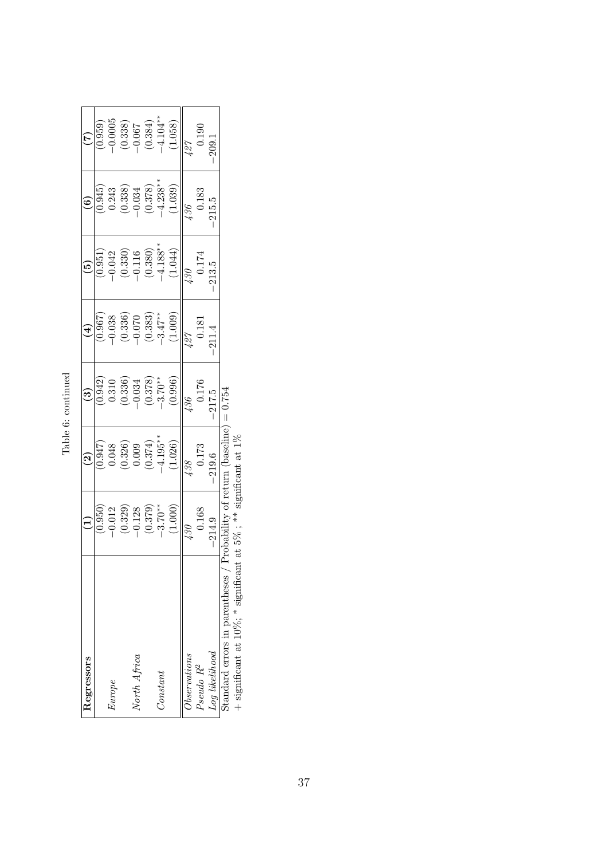| خ |  |
|---|--|
|   |  |

| Regressors                     |                                                                         | $\widehat{\mathbf{c}}$                        |                                                                         | $\bigoplus$                                                                                                    | $\widetilde{\mathbf{e}}$                                                  | ව                                                                                    |                                                                           |
|--------------------------------|-------------------------------------------------------------------------|-----------------------------------------------|-------------------------------------------------------------------------|----------------------------------------------------------------------------------------------------------------|---------------------------------------------------------------------------|--------------------------------------------------------------------------------------|---------------------------------------------------------------------------|
|                                |                                                                         |                                               |                                                                         |                                                                                                                |                                                                           |                                                                                      |                                                                           |
| Europe                         |                                                                         | (256.0                                        |                                                                         |                                                                                                                |                                                                           |                                                                                      |                                                                           |
|                                | $(0.950)$<br>$-0.012$<br>$(0.329)$<br>$-0.128$<br>$-0.379$<br>$-3.70**$ | $(0.326)$<br>0.009<br>$(0.374)$<br>$-4.195**$ | $(0.942)$<br>$0.310$<br>$(0.336)$<br>$-0.034$<br>$(0.378)$<br>$-3.70**$ | $\begin{array}{c} (0.967) \\ (0.338) \\ (0.336) \\ (0.336) \\ (0.338) \\ (0.338) \\ (-0.3347^{**} \end{array}$ | $(0.951)$<br>$-0.042$<br>$(0.330)$<br>$-0.116$<br>$(0.380)$<br>$-4.188**$ | $(0.945)$<br>$0.243$<br>$(0.338)$<br>$-0.034$<br>$(0.378)$<br>$-4.238$ <sup>**</sup> | $(0.959)$<br>$-0.0005$<br>$(0.338)$<br>$-0.067$<br>$-0.067$<br>$-1.04$ ** |
| North Africa                   |                                                                         |                                               |                                                                         |                                                                                                                |                                                                           |                                                                                      |                                                                           |
|                                |                                                                         |                                               |                                                                         |                                                                                                                |                                                                           |                                                                                      |                                                                           |
| Constant                       |                                                                         |                                               |                                                                         |                                                                                                                |                                                                           |                                                                                      |                                                                           |
|                                | (1.000)                                                                 | (1.026)                                       | (0.996)                                                                 | (1.009)                                                                                                        | (1.044)                                                                   | (1.039)                                                                              | 1.058)                                                                    |
| Observations                   | 430                                                                     | 138                                           | 136                                                                     | 127                                                                                                            | 130                                                                       | 136                                                                                  | 127                                                                       |
| Pseudo R <sup>2</sup>          | 0.168                                                                   | $0.173\,$                                     | 0.176                                                                   | 0.181                                                                                                          | 0.174                                                                     | 0.183                                                                                | 0.190                                                                     |
| $Log\ likelihood$              | 214.9                                                                   | 219.6                                         | 217.5                                                                   | 211.4                                                                                                          | 213.5                                                                     | 215.5                                                                                | $-209.1$                                                                  |
| Standard errors in parentheses |                                                                         | asserine                                      | $\overline{\mathsf{I}}$                                                 |                                                                                                                |                                                                           |                                                                                      |                                                                           |

Standard errors in parentheses / Probability of return (baseline) =  $0.754$  $\mathcal{L}$ boundant critics in Pearchinesco / 1 role-willing of recentling the significant at 1% + significant at 1%

 $+$  significant at 10%;  $*$  significant at 5% ;  $**$  significant at 1%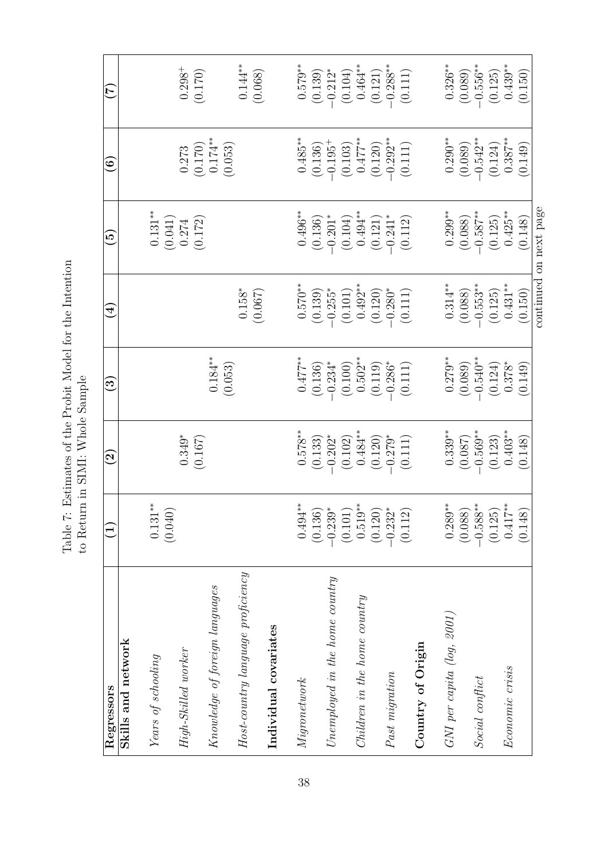| Regressors                        | F                                | $\widetilde{\boldsymbol{\mathcal{G}}}$ | $\odot$              | $\overline{\mathcal{A}}$ | قع                     | $\mathfrak{S}$                                                | E                      |
|-----------------------------------|----------------------------------|----------------------------------------|----------------------|--------------------------|------------------------|---------------------------------------------------------------|------------------------|
| Skills and network                |                                  |                                        |                      |                          |                        |                                                               |                        |
| Years of schooling                | $0.131***$<br>(0.040)            |                                        |                      |                          | $0.131***$<br>(0.041)  |                                                               |                        |
| High-Skilled worker               |                                  | $0.349*$<br>(0.167)                    |                      |                          | (0.172)<br>0.274       | $\begin{array}{c} 0.273 \\ (0.170) \\ 0.174^{**} \end{array}$ | $0.298^{+}$<br>(0.170) |
| Knowledge of foreign languages    |                                  |                                        | $0.184**$<br>(0.053) |                          |                        | (0.053)                                                       |                        |
| Host-country language proficiency |                                  |                                        |                      | $0.158*$<br>(0.067)      |                        |                                                               | $0.144***$<br>(0.068)  |
| Individual covariates             |                                  |                                        |                      |                          |                        |                                                               |                        |
| Migronetwork                      | $0.494***$                       | $0.578***$                             | $0.477**$            | $0.570**$                | $0.496^{\ast\ast}$     | $0.485***$                                                    | $0.579***$             |
| $Unemplosed$ in the home country  | (0.136)<br>$-0.239$              | $-0.202*$<br>(0.133)                   | $-0.234*$<br>(0.136) | $-0.255*$<br>(0.139)     | $(0.136)$<br>-0.201*   | $-0.195+$<br>(0.136)                                          | $-0.212*$<br>(0.139)   |
|                                   | (0.101)                          | (0.102)                                | (0.100)              | (0.101)                  | (0.104)                | (0.103)                                                       | (0.104)                |
| Children in the home country      | $0.519***$                       | $0.484***$                             | $0.502**$            | $0.492**$                | $0.494***$             | $0.477**$                                                     | $0.464***$             |
| $Fast\ migration$                 | (0.120)<br>$-0.232$ <sup>*</sup> | $-0.279*$<br>(0.120)                   | $-0.286*$<br>(0.119) | $-0.280*$<br>(0.120)     | $-0.241*$<br>(0.121)   | $-0.292**$<br>(0.120)                                         | $-0.288***$<br>(0.121) |
|                                   | (0.112)                          | (0.111)                                | (0.111)              | (0.111)                  | (0.112)                | (0.111)                                                       | (0.111)                |
| Country of Origin                 |                                  |                                        |                      |                          |                        |                                                               |                        |
| $GNI$ per capita $(log, 2001)$    | $0.289***$                       | $0.339***$                             | $0.279***$           | $0.314***$               | $0.299***$             | $0.290***$                                                    | $0.326**$              |
|                                   | (0.088)                          | (0.087)                                | (0.089)              | (0.088)                  | (0.088)                | (0.089)                                                       | (0.089)                |
| Social conflict                   | $-0.588**$                       | $-0.569***$                            | $-0.540**$           | $-0.553***$              | $-0.587***$            | $-0.542**$                                                    | $-0.556***$            |
|                                   | (0.125)                          | (0.123)                                | (0.124)              | (0.125)                  | (0.125)                | (0.124)                                                       | (0.125)                |
| Economic crisis                   | $0.417***$                       | $0.403**$                              | $0.378*$             | $0.431***$               | $0.425**$              | $0.387**$                                                     | $0.439***$             |
|                                   | (0.148)                          | (0.148)                                | (0.149)              | (0.150)                  | (0.148)                | (0.149)                                                       | (0.150)                |
|                                   |                                  |                                        |                      |                          | continued on next page |                                                               |                        |

Table 7: Estimates of the Probit Model for the Intention to Return in SIMI: Whole Sample  $\,$ Table 7: Estimates of the Probit Model for the Intention to Return in SIMI: Whole Sample